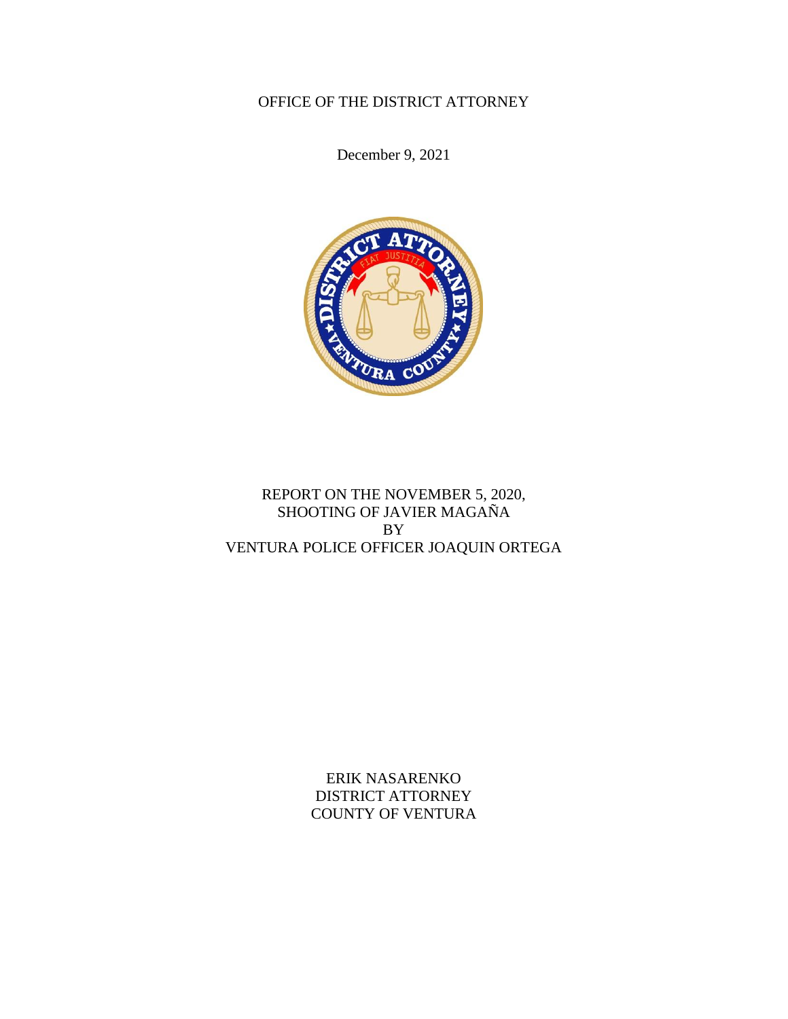# OFFICE OF THE DISTRICT ATTORNEY

December 9, 2021



# REPORT ON THE NOVEMBER 5, 2020, SHOOTING OF JAVIER MAGAÑA BY VENTURA POLICE OFFICER JOAQUIN ORTEGA

ERIK NASARENKO DISTRICT ATTORNEY COUNTY OF VENTURA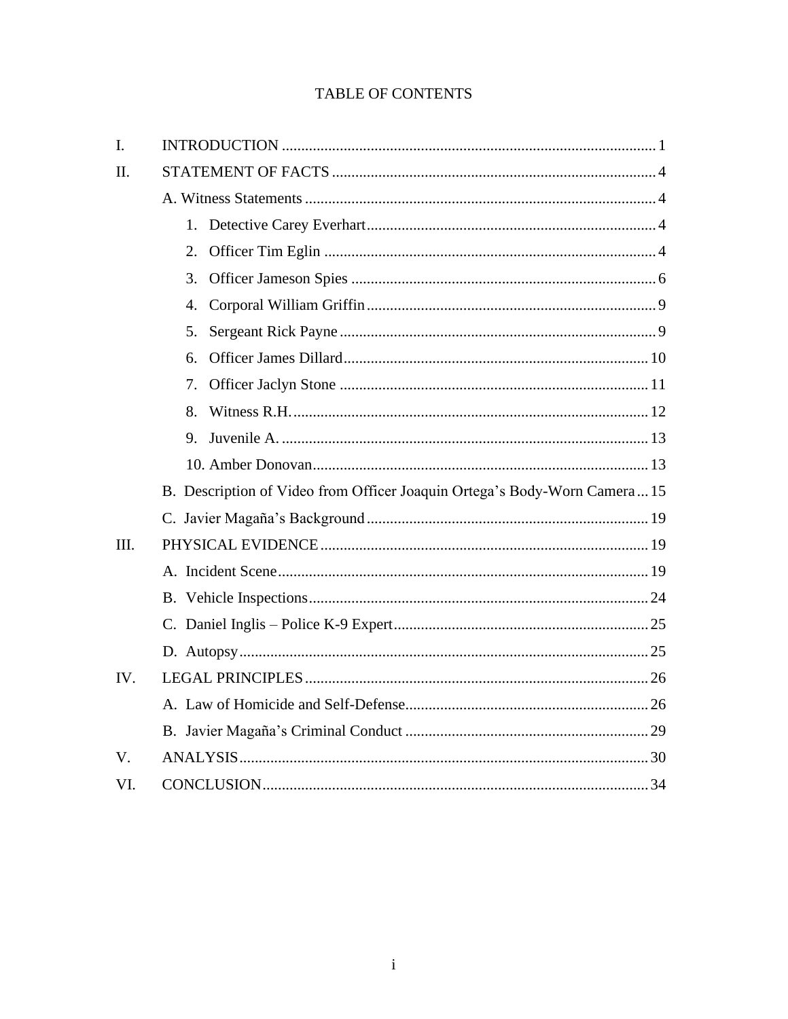# **TABLE OF CONTENTS**

| I.          |                                                                           |  |
|-------------|---------------------------------------------------------------------------|--|
| II.         |                                                                           |  |
|             |                                                                           |  |
|             |                                                                           |  |
|             |                                                                           |  |
|             | 3.                                                                        |  |
|             | 4.                                                                        |  |
|             | 5.                                                                        |  |
|             | б.                                                                        |  |
|             | 7.                                                                        |  |
|             | 8.                                                                        |  |
|             | 9.                                                                        |  |
|             |                                                                           |  |
|             | B. Description of Video from Officer Joaquin Ortega's Body-Worn Camera 15 |  |
|             |                                                                           |  |
| III.        |                                                                           |  |
|             |                                                                           |  |
|             |                                                                           |  |
|             |                                                                           |  |
|             |                                                                           |  |
| IV.         |                                                                           |  |
|             |                                                                           |  |
|             |                                                                           |  |
| $V_{\cdot}$ |                                                                           |  |
| VI.         |                                                                           |  |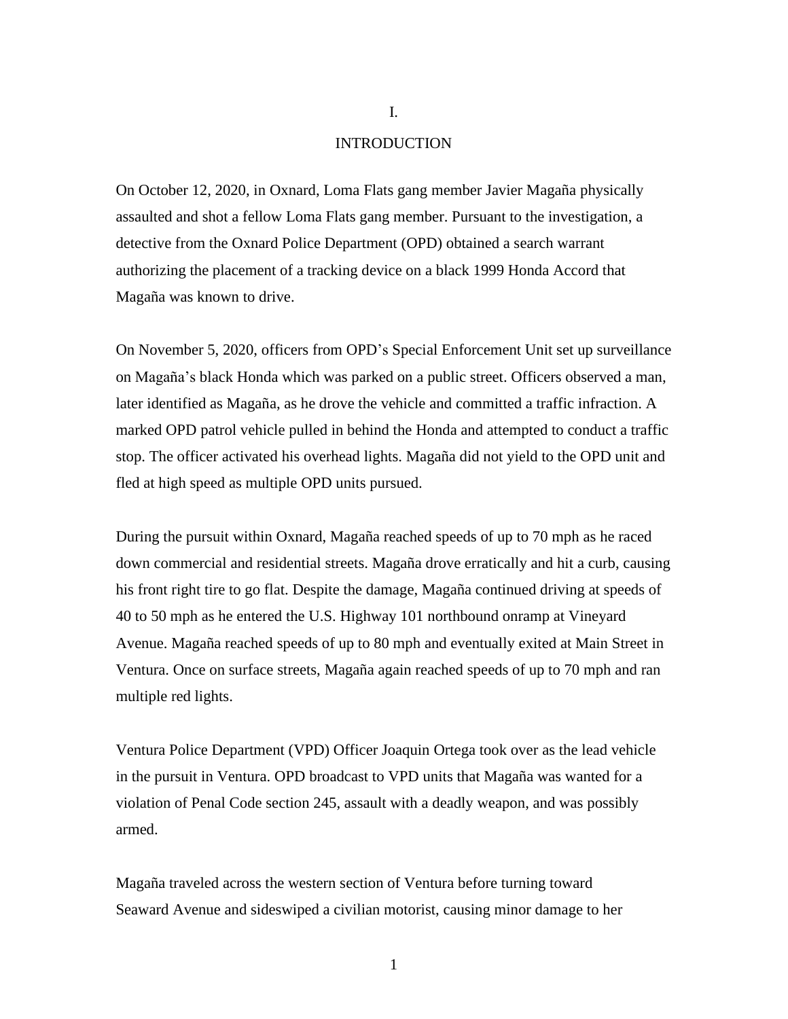## INTRODUCTION

On October 12, 2020, in Oxnard, Loma Flats gang member Javier Magaña physically assaulted and shot a fellow Loma Flats gang member. Pursuant to the investigation, a detective from the Oxnard Police Department (OPD) obtained a search warrant authorizing the placement of a tracking device on a black 1999 Honda Accord that Magaña was known to drive.

On November 5, 2020, officers from OPD's Special Enforcement Unit set up surveillance on Magaña's black Honda which was parked on a public street. Officers observed a man, later identified as Magaña, as he drove the vehicle and committed a traffic infraction. A marked OPD patrol vehicle pulled in behind the Honda and attempted to conduct a traffic stop. The officer activated his overhead lights. Magaña did not yield to the OPD unit and fled at high speed as multiple OPD units pursued.

During the pursuit within Oxnard, Magaña reached speeds of up to 70 mph as he raced down commercial and residential streets. Magaña drove erratically and hit a curb, causing his front right tire to go flat. Despite the damage, Magaña continued driving at speeds of 40 to 50 mph as he entered the U.S. Highway 101 northbound onramp at Vineyard Avenue. Magaña reached speeds of up to 80 mph and eventually exited at Main Street in Ventura. Once on surface streets, Magaña again reached speeds of up to 70 mph and ran multiple red lights.

Ventura Police Department (VPD) Officer Joaquin Ortega took over as the lead vehicle in the pursuit in Ventura. OPD broadcast to VPD units that Magaña was wanted for a violation of Penal Code section 245, assault with a deadly weapon, and was possibly armed.

Magaña traveled across the western section of Ventura before turning toward Seaward Avenue and sideswiped a civilian motorist, causing minor damage to her

I.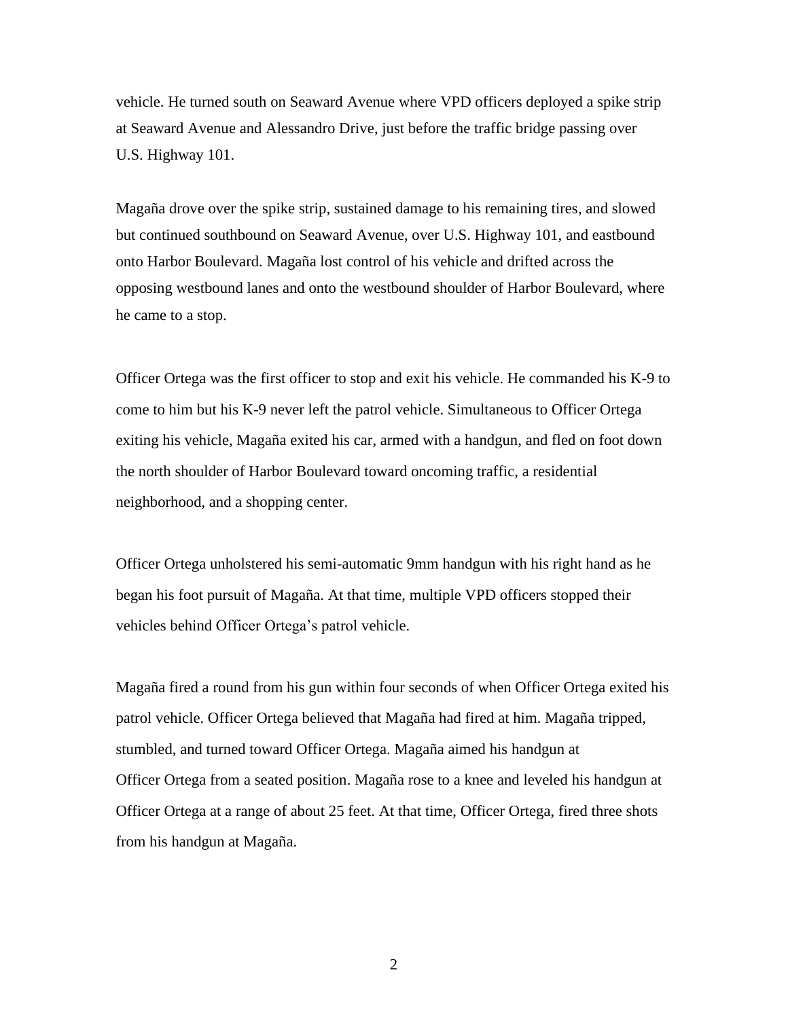vehicle. He turned south on Seaward Avenue where VPD officers deployed a spike strip at Seaward Avenue and Alessandro Drive, just before the traffic bridge passing over U.S. Highway 101.

Magaña drove over the spike strip, sustained damage to his remaining tires, and slowed but continued southbound on Seaward Avenue, over U.S. Highway 101, and eastbound onto Harbor Boulevard. Magaña lost control of his vehicle and drifted across the opposing westbound lanes and onto the westbound shoulder of Harbor Boulevard, where he came to a stop.

Officer Ortega was the first officer to stop and exit his vehicle. He commanded his K-9 to come to him but his K-9 never left the patrol vehicle. Simultaneous to Officer Ortega exiting his vehicle, Magaña exited his car, armed with a handgun, and fled on foot down the north shoulder of Harbor Boulevard toward oncoming traffic, a residential neighborhood, and a shopping center.

Officer Ortega unholstered his semi-automatic 9mm handgun with his right hand as he began his foot pursuit of Magaña. At that time, multiple VPD officers stopped their vehicles behind Officer Ortega's patrol vehicle.

Magaña fired a round from his gun within four seconds of when Officer Ortega exited his patrol vehicle. Officer Ortega believed that Magaña had fired at him. Magaña tripped, stumbled, and turned toward Officer Ortega. Magaña aimed his handgun at Officer Ortega from a seated position. Magaña rose to a knee and leveled his handgun at Officer Ortega at a range of about 25 feet. At that time, Officer Ortega, fired three shots from his handgun at Magaña.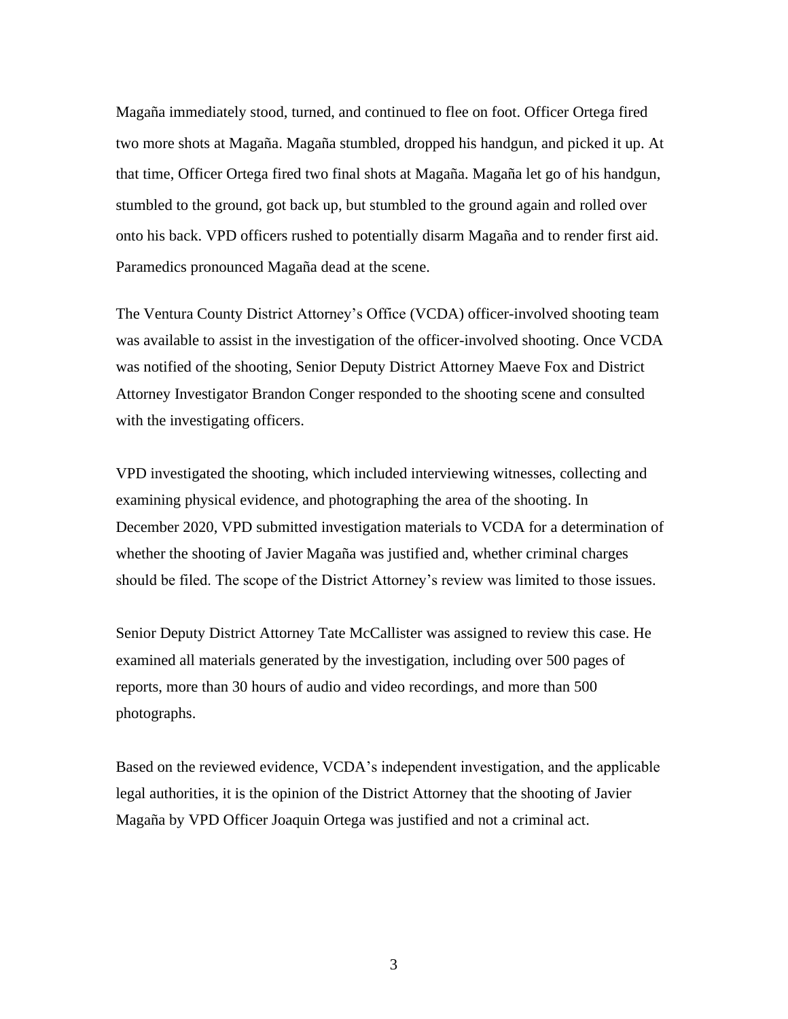Magaña immediately stood, turned, and continued to flee on foot. Officer Ortega fired two more shots at Magaña. Magaña stumbled, dropped his handgun, and picked it up. At that time, Officer Ortega fired two final shots at Magaña. Magaña let go of his handgun, stumbled to the ground, got back up, but stumbled to the ground again and rolled over onto his back. VPD officers rushed to potentially disarm Magaña and to render first aid. Paramedics pronounced Magaña dead at the scene.

The Ventura County District Attorney's Office (VCDA) officer-involved shooting team was available to assist in the investigation of the officer-involved shooting. Once VCDA was notified of the shooting, Senior Deputy District Attorney Maeve Fox and District Attorney Investigator Brandon Conger responded to the shooting scene and consulted with the investigating officers.

VPD investigated the shooting, which included interviewing witnesses, collecting and examining physical evidence, and photographing the area of the shooting. In December 2020, VPD submitted investigation materials to VCDA for a determination of whether the shooting of Javier Magaña was justified and, whether criminal charges should be filed. The scope of the District Attorney's review was limited to those issues.

Senior Deputy District Attorney Tate McCallister was assigned to review this case. He examined all materials generated by the investigation, including over 500 pages of reports, more than 30 hours of audio and video recordings, and more than 500 photographs.

Based on the reviewed evidence, VCDA's independent investigation, and the applicable legal authorities, it is the opinion of the District Attorney that the shooting of Javier Magaña by VPD Officer Joaquin Ortega was justified and not a criminal act.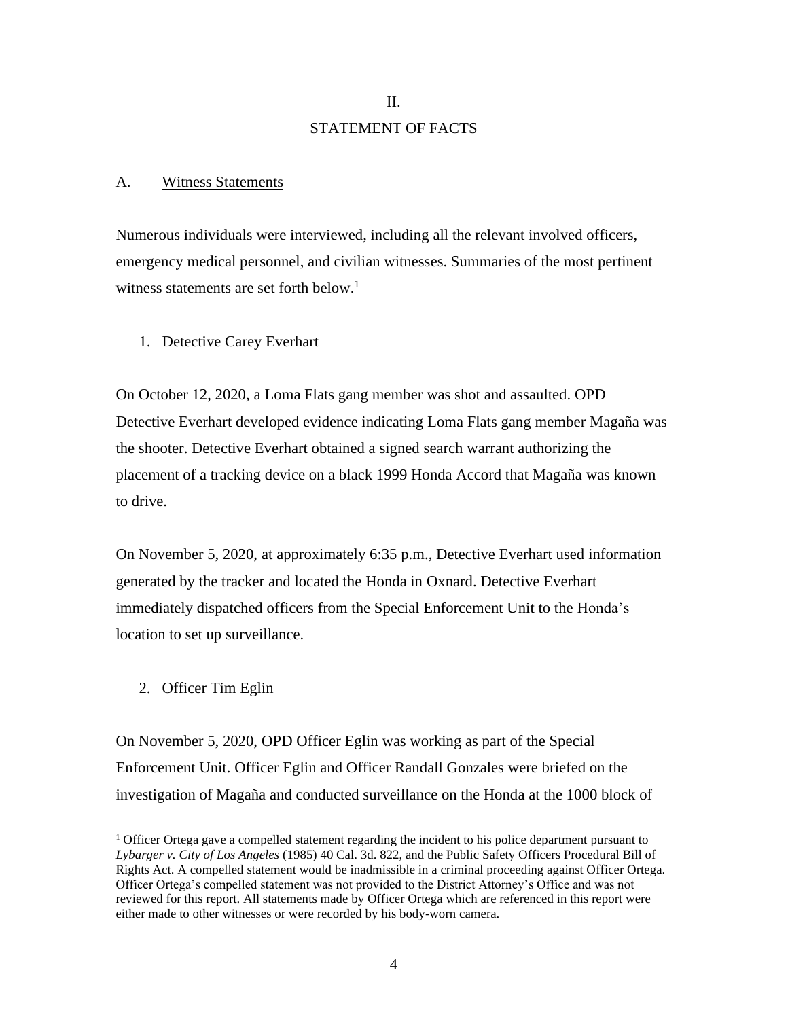# II. STATEMENT OF FACTS

## A. Witness Statements

Numerous individuals were interviewed, including all the relevant involved officers, emergency medical personnel, and civilian witnesses. Summaries of the most pertinent witness statements are set forth below.<sup>1</sup>

1. Detective Carey Everhart

On October 12, 2020, a Loma Flats gang member was shot and assaulted. OPD Detective Everhart developed evidence indicating Loma Flats gang member Magaña was the shooter. Detective Everhart obtained a signed search warrant authorizing the placement of a tracking device on a black 1999 Honda Accord that Magaña was known to drive.

On November 5, 2020, at approximately 6:35 p.m., Detective Everhart used information generated by the tracker and located the Honda in Oxnard. Detective Everhart immediately dispatched officers from the Special Enforcement Unit to the Honda's location to set up surveillance.

2. Officer Tim Eglin

On November 5, 2020, OPD Officer Eglin was working as part of the Special Enforcement Unit. Officer Eglin and Officer Randall Gonzales were briefed on the investigation of Magaña and conducted surveillance on the Honda at the 1000 block of

 $<sup>1</sup>$  Officer Ortega gave a compelled statement regarding the incident to his police department pursuant to</sup> *Lybarger v. City of Los Angeles* (1985) 40 Cal. 3d. 822, and the Public Safety Officers Procedural Bill of Rights Act. A compelled statement would be inadmissible in a criminal proceeding against Officer Ortega. Officer Ortega's compelled statement was not provided to the District Attorney's Office and was not reviewed for this report. All statements made by Officer Ortega which are referenced in this report were either made to other witnesses or were recorded by his body-worn camera.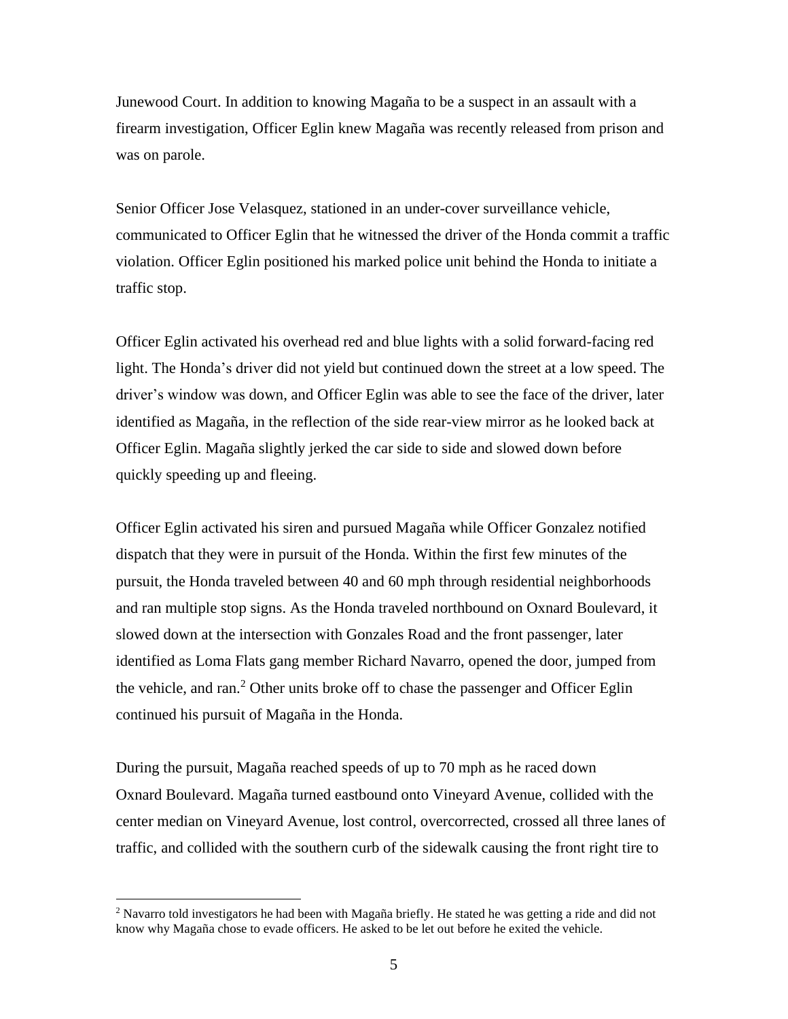Junewood Court. In addition to knowing Magaña to be a suspect in an assault with a firearm investigation, Officer Eglin knew Magaña was recently released from prison and was on parole.

Senior Officer Jose Velasquez, stationed in an under-cover surveillance vehicle, communicated to Officer Eglin that he witnessed the driver of the Honda commit a traffic violation. Officer Eglin positioned his marked police unit behind the Honda to initiate a traffic stop.

Officer Eglin activated his overhead red and blue lights with a solid forward-facing red light. The Honda's driver did not yield but continued down the street at a low speed. The driver's window was down, and Officer Eglin was able to see the face of the driver, later identified as Magaña, in the reflection of the side rear-view mirror as he looked back at Officer Eglin. Magaña slightly jerked the car side to side and slowed down before quickly speeding up and fleeing.

Officer Eglin activated his siren and pursued Magaña while Officer Gonzalez notified dispatch that they were in pursuit of the Honda. Within the first few minutes of the pursuit, the Honda traveled between 40 and 60 mph through residential neighborhoods and ran multiple stop signs. As the Honda traveled northbound on Oxnard Boulevard, it slowed down at the intersection with Gonzales Road and the front passenger, later identified as Loma Flats gang member Richard Navarro, opened the door, jumped from the vehicle, and ran.<sup>2</sup> Other units broke off to chase the passenger and Officer Eglin continued his pursuit of Magaña in the Honda.

During the pursuit, Magaña reached speeds of up to 70 mph as he raced down Oxnard Boulevard. Magaña turned eastbound onto Vineyard Avenue, collided with the center median on Vineyard Avenue, lost control, overcorrected, crossed all three lanes of traffic, and collided with the southern curb of the sidewalk causing the front right tire to

<sup>&</sup>lt;sup>2</sup> Navarro told investigators he had been with Magaña briefly. He stated he was getting a ride and did not know why Magaña chose to evade officers. He asked to be let out before he exited the vehicle.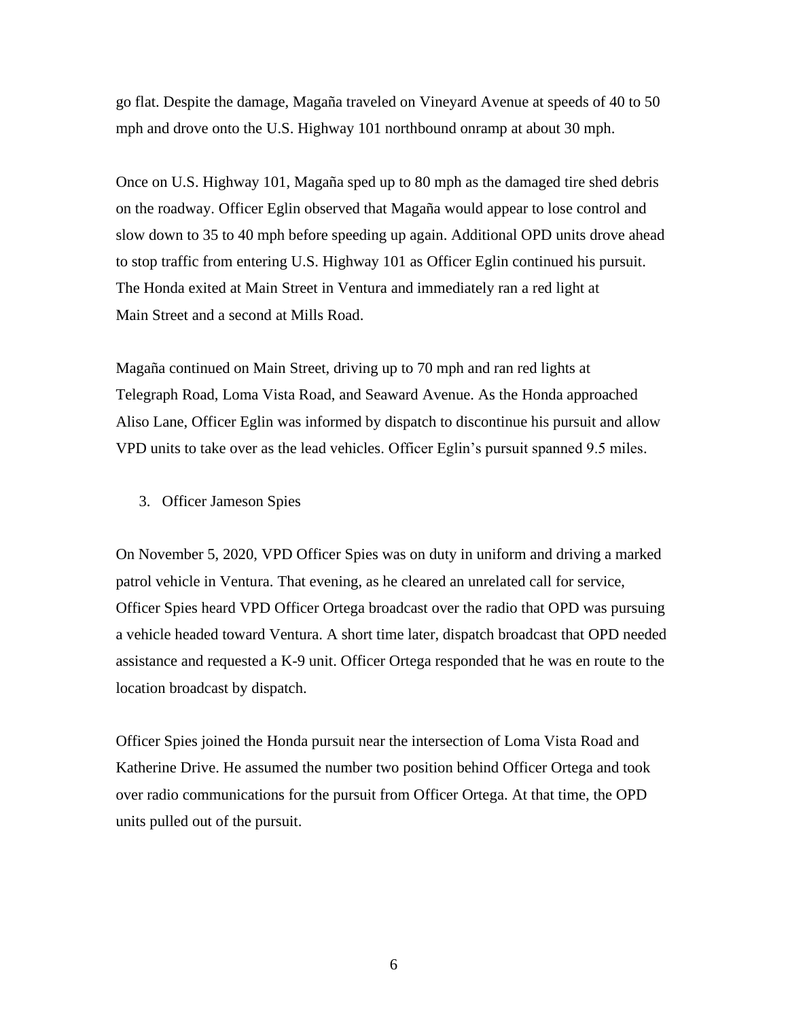go flat. Despite the damage, Magaña traveled on Vineyard Avenue at speeds of 40 to 50 mph and drove onto the U.S. Highway 101 northbound onramp at about 30 mph.

Once on U.S. Highway 101, Magaña sped up to 80 mph as the damaged tire shed debris on the roadway. Officer Eglin observed that Magaña would appear to lose control and slow down to 35 to 40 mph before speeding up again. Additional OPD units drove ahead to stop traffic from entering U.S. Highway 101 as Officer Eglin continued his pursuit. The Honda exited at Main Street in Ventura and immediately ran a red light at Main Street and a second at Mills Road.

Magaña continued on Main Street, driving up to 70 mph and ran red lights at Telegraph Road, Loma Vista Road, and Seaward Avenue. As the Honda approached Aliso Lane, Officer Eglin was informed by dispatch to discontinue his pursuit and allow VPD units to take over as the lead vehicles. Officer Eglin's pursuit spanned 9.5 miles.

3. Officer Jameson Spies

On November 5, 2020, VPD Officer Spies was on duty in uniform and driving a marked patrol vehicle in Ventura. That evening, as he cleared an unrelated call for service, Officer Spies heard VPD Officer Ortega broadcast over the radio that OPD was pursuing a vehicle headed toward Ventura. A short time later, dispatch broadcast that OPD needed assistance and requested a K-9 unit. Officer Ortega responded that he was en route to the location broadcast by dispatch.

Officer Spies joined the Honda pursuit near the intersection of Loma Vista Road and Katherine Drive. He assumed the number two position behind Officer Ortega and took over radio communications for the pursuit from Officer Ortega. At that time, the OPD units pulled out of the pursuit.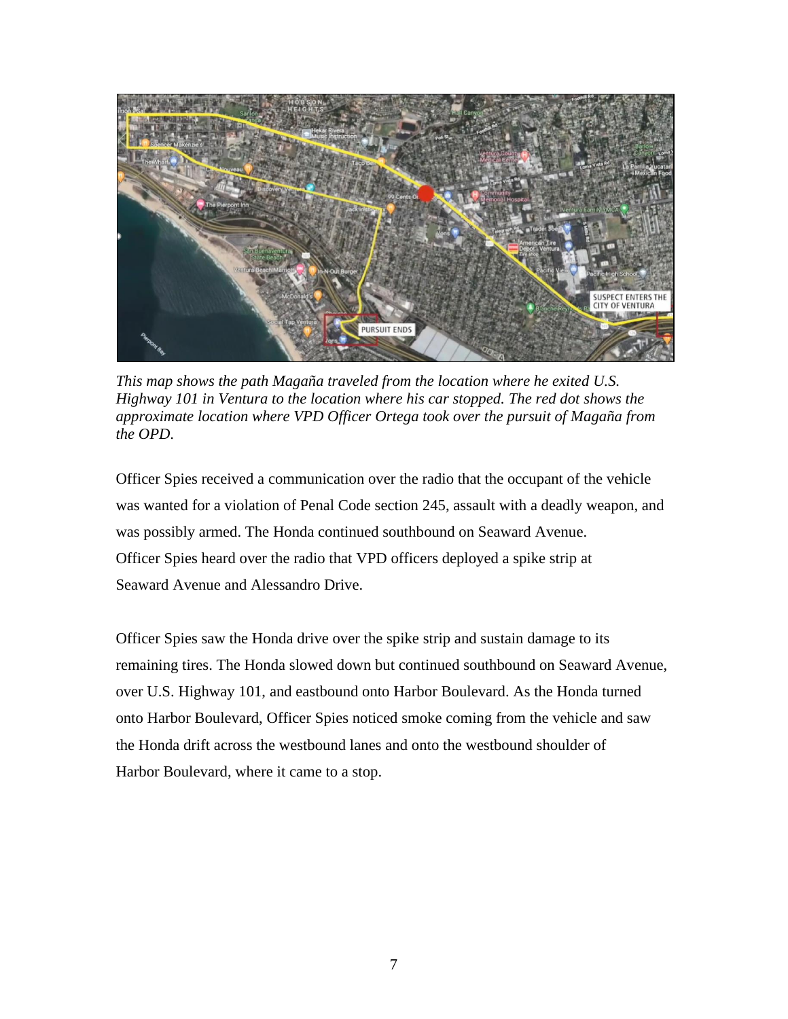

*This map shows the path Magaña traveled from the location where he exited U.S. Highway 101 in Ventura to the location where his car stopped. The red dot shows the approximate location where VPD Officer Ortega took over the pursuit of Magaña from the OPD*.

Officer Spies received a communication over the radio that the occupant of the vehicle was wanted for a violation of Penal Code section 245, assault with a deadly weapon, and was possibly armed. The Honda continued southbound on Seaward Avenue. Officer Spies heard over the radio that VPD officers deployed a spike strip at Seaward Avenue and Alessandro Drive.

Officer Spies saw the Honda drive over the spike strip and sustain damage to its remaining tires. The Honda slowed down but continued southbound on Seaward Avenue, over U.S. Highway 101, and eastbound onto Harbor Boulevard. As the Honda turned onto Harbor Boulevard, Officer Spies noticed smoke coming from the vehicle and saw the Honda drift across the westbound lanes and onto the westbound shoulder of Harbor Boulevard, where it came to a stop.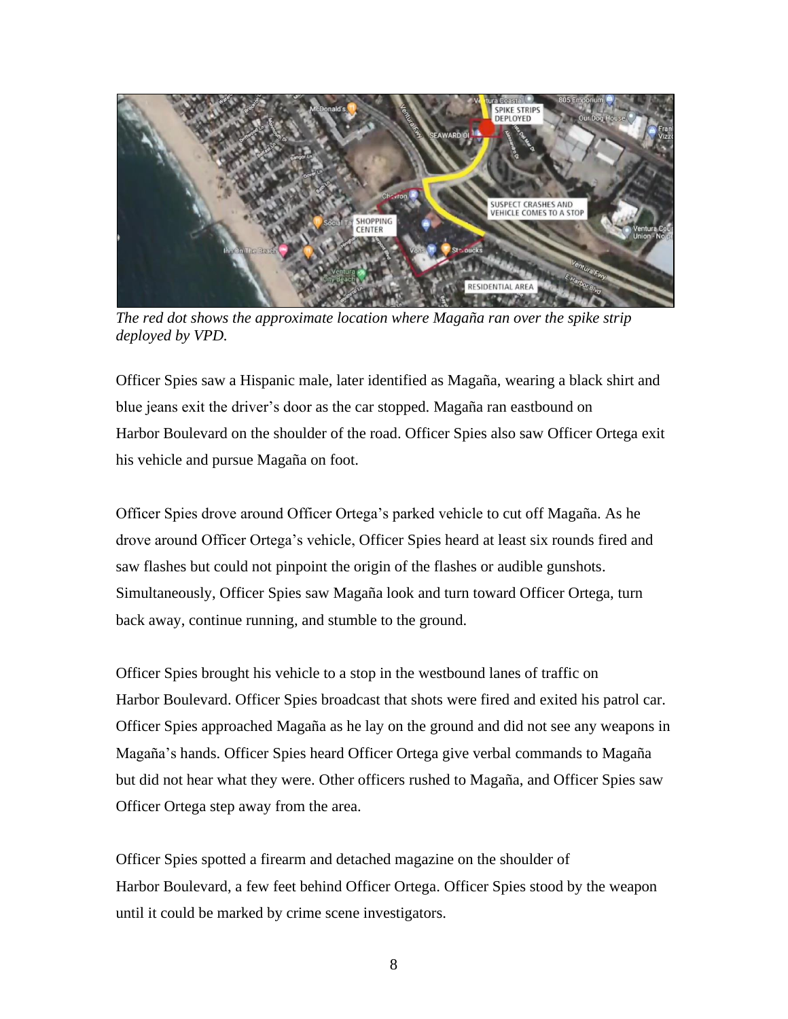

*The red dot shows the approximate location where Magaña ran over the spike strip deployed by VPD.*

Officer Spies saw a Hispanic male, later identified as Magaña, wearing a black shirt and blue jeans exit the driver's door as the car stopped. Magaña ran eastbound on Harbor Boulevard on the shoulder of the road. Officer Spies also saw Officer Ortega exit his vehicle and pursue Magaña on foot.

Officer Spies drove around Officer Ortega's parked vehicle to cut off Magaña. As he drove around Officer Ortega's vehicle, Officer Spies heard at least six rounds fired and saw flashes but could not pinpoint the origin of the flashes or audible gunshots. Simultaneously, Officer Spies saw Magaña look and turn toward Officer Ortega, turn back away, continue running, and stumble to the ground.

Officer Spies brought his vehicle to a stop in the westbound lanes of traffic on Harbor Boulevard. Officer Spies broadcast that shots were fired and exited his patrol car. Officer Spies approached Magaña as he lay on the ground and did not see any weapons in Magaña's hands. Officer Spies heard Officer Ortega give verbal commands to Magaña but did not hear what they were. Other officers rushed to Magaña, and Officer Spies saw Officer Ortega step away from the area.

Officer Spies spotted a firearm and detached magazine on the shoulder of Harbor Boulevard, a few feet behind Officer Ortega. Officer Spies stood by the weapon until it could be marked by crime scene investigators.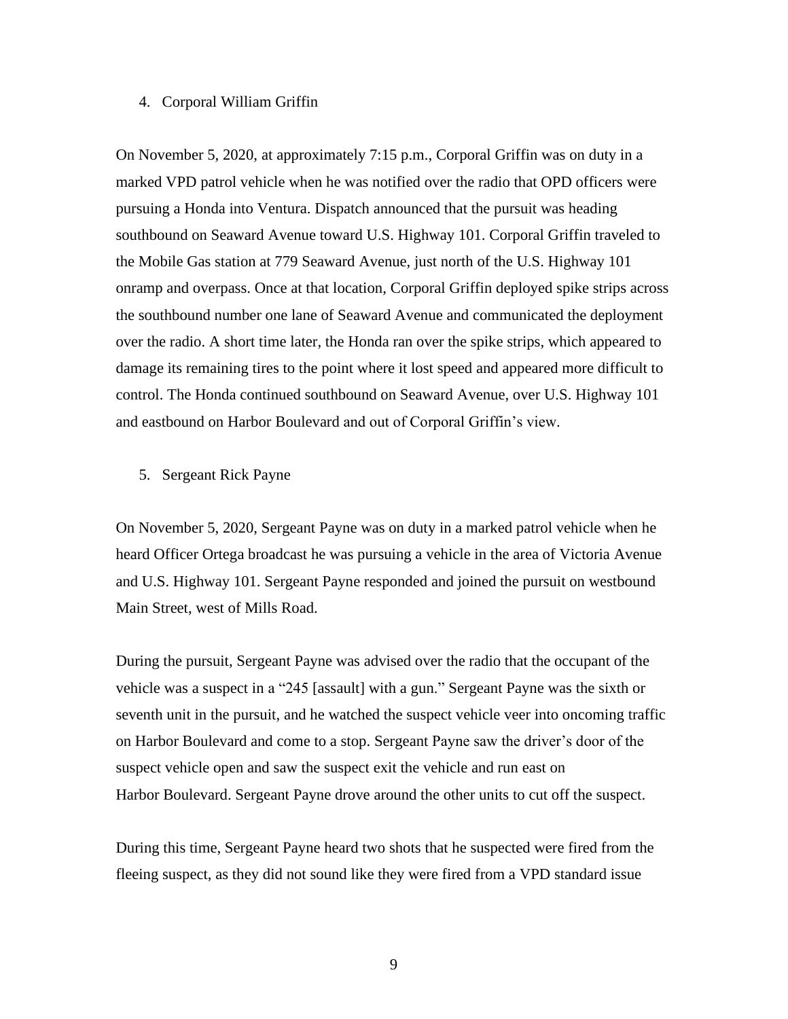## 4. Corporal William Griffin

On November 5, 2020, at approximately 7:15 p.m., Corporal Griffin was on duty in a marked VPD patrol vehicle when he was notified over the radio that OPD officers were pursuing a Honda into Ventura. Dispatch announced that the pursuit was heading southbound on Seaward Avenue toward U.S. Highway 101. Corporal Griffin traveled to the Mobile Gas station at 779 Seaward Avenue, just north of the U.S. Highway 101 onramp and overpass. Once at that location, Corporal Griffin deployed spike strips across the southbound number one lane of Seaward Avenue and communicated the deployment over the radio. A short time later, the Honda ran over the spike strips, which appeared to damage its remaining tires to the point where it lost speed and appeared more difficult to control. The Honda continued southbound on Seaward Avenue, over U.S. Highway 101 and eastbound on Harbor Boulevard and out of Corporal Griffin's view.

## 5. Sergeant Rick Payne

On November 5, 2020, Sergeant Payne was on duty in a marked patrol vehicle when he heard Officer Ortega broadcast he was pursuing a vehicle in the area of Victoria Avenue and U.S. Highway 101. Sergeant Payne responded and joined the pursuit on westbound Main Street, west of Mills Road.

During the pursuit, Sergeant Payne was advised over the radio that the occupant of the vehicle was a suspect in a "245 [assault] with a gun." Sergeant Payne was the sixth or seventh unit in the pursuit, and he watched the suspect vehicle veer into oncoming traffic on Harbor Boulevard and come to a stop. Sergeant Payne saw the driver's door of the suspect vehicle open and saw the suspect exit the vehicle and run east on Harbor Boulevard. Sergeant Payne drove around the other units to cut off the suspect.

During this time, Sergeant Payne heard two shots that he suspected were fired from the fleeing suspect, as they did not sound like they were fired from a VPD standard issue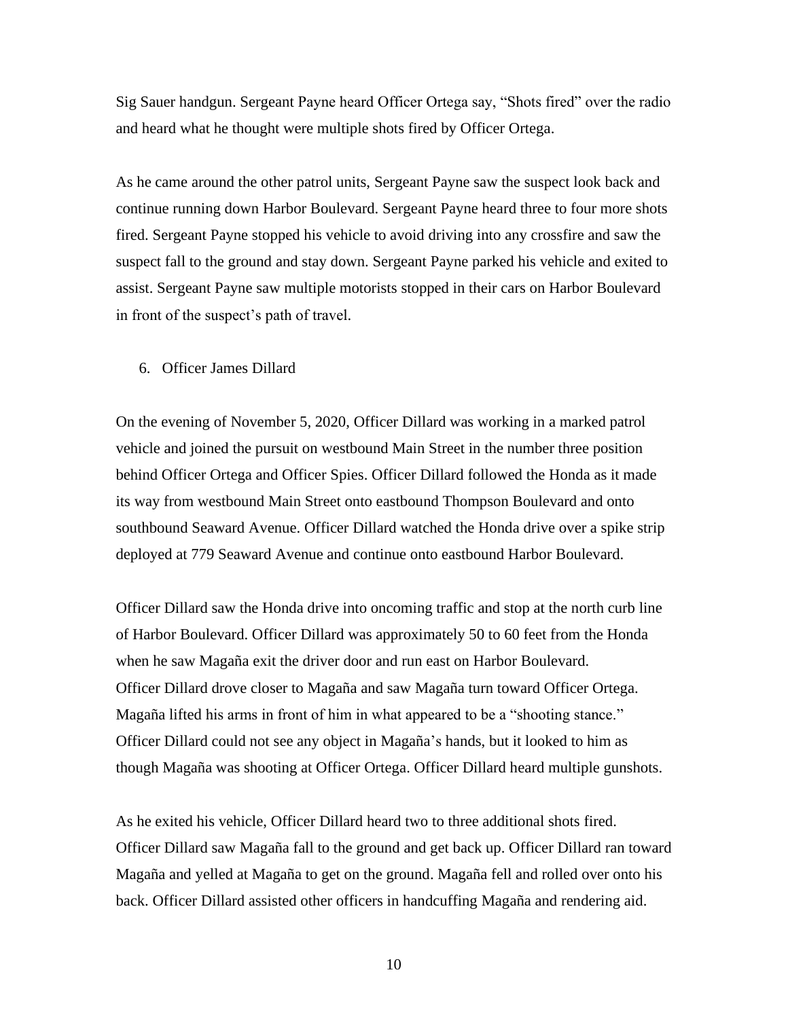Sig Sauer handgun. Sergeant Payne heard Officer Ortega say, "Shots fired" over the radio and heard what he thought were multiple shots fired by Officer Ortega.

As he came around the other patrol units, Sergeant Payne saw the suspect look back and continue running down Harbor Boulevard. Sergeant Payne heard three to four more shots fired. Sergeant Payne stopped his vehicle to avoid driving into any crossfire and saw the suspect fall to the ground and stay down. Sergeant Payne parked his vehicle and exited to assist. Sergeant Payne saw multiple motorists stopped in their cars on Harbor Boulevard in front of the suspect's path of travel.

# 6. Officer James Dillard

On the evening of November 5, 2020, Officer Dillard was working in a marked patrol vehicle and joined the pursuit on westbound Main Street in the number three position behind Officer Ortega and Officer Spies. Officer Dillard followed the Honda as it made its way from westbound Main Street onto eastbound Thompson Boulevard and onto southbound Seaward Avenue. Officer Dillard watched the Honda drive over a spike strip deployed at 779 Seaward Avenue and continue onto eastbound Harbor Boulevard.

Officer Dillard saw the Honda drive into oncoming traffic and stop at the north curb line of Harbor Boulevard. Officer Dillard was approximately 50 to 60 feet from the Honda when he saw Magaña exit the driver door and run east on Harbor Boulevard. Officer Dillard drove closer to Magaña and saw Magaña turn toward Officer Ortega. Magaña lifted his arms in front of him in what appeared to be a "shooting stance." Officer Dillard could not see any object in Magaña's hands, but it looked to him as though Magaña was shooting at Officer Ortega. Officer Dillard heard multiple gunshots.

As he exited his vehicle, Officer Dillard heard two to three additional shots fired. Officer Dillard saw Magaña fall to the ground and get back up. Officer Dillard ran toward Magaña and yelled at Magaña to get on the ground. Magaña fell and rolled over onto his back. Officer Dillard assisted other officers in handcuffing Magaña and rendering aid.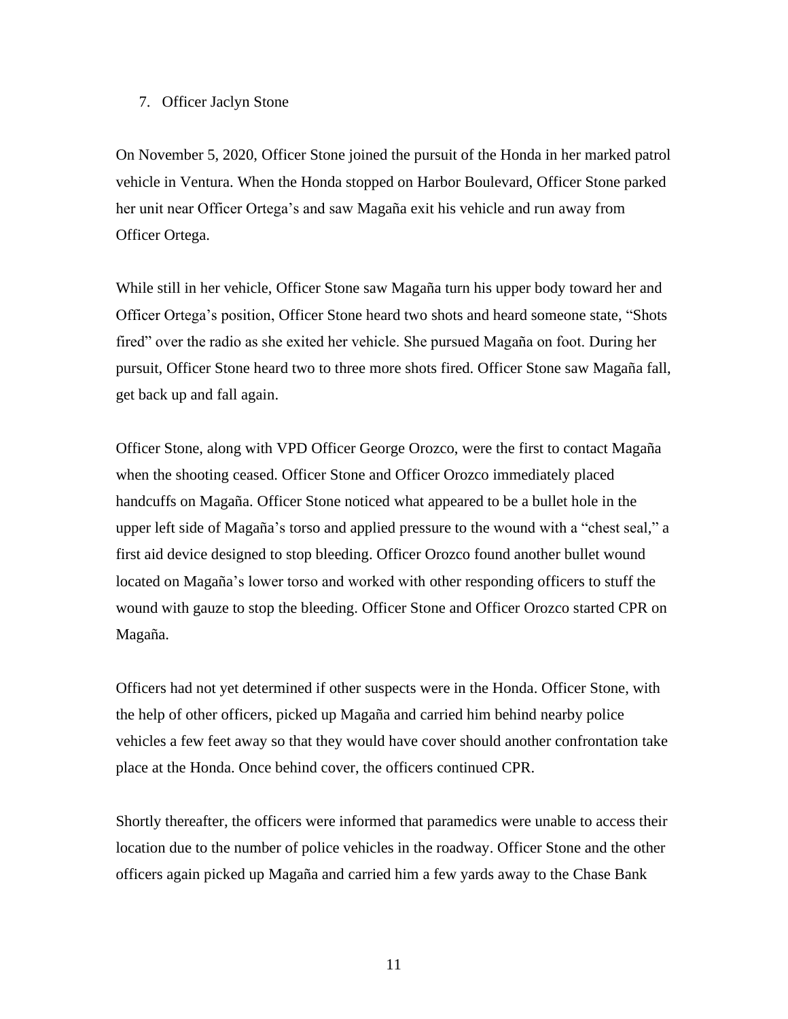# 7. Officer Jaclyn Stone

On November 5, 2020, Officer Stone joined the pursuit of the Honda in her marked patrol vehicle in Ventura. When the Honda stopped on Harbor Boulevard, Officer Stone parked her unit near Officer Ortega's and saw Magaña exit his vehicle and run away from Officer Ortega.

While still in her vehicle, Officer Stone saw Magaña turn his upper body toward her and Officer Ortega's position, Officer Stone heard two shots and heard someone state, "Shots fired" over the radio as she exited her vehicle. She pursued Magaña on foot. During her pursuit, Officer Stone heard two to three more shots fired. Officer Stone saw Magaña fall, get back up and fall again.

Officer Stone, along with VPD Officer George Orozco, were the first to contact Magaña when the shooting ceased. Officer Stone and Officer Orozco immediately placed handcuffs on Magaña. Officer Stone noticed what appeared to be a bullet hole in the upper left side of Magaña's torso and applied pressure to the wound with a "chest seal," a first aid device designed to stop bleeding. Officer Orozco found another bullet wound located on Magaña's lower torso and worked with other responding officers to stuff the wound with gauze to stop the bleeding. Officer Stone and Officer Orozco started CPR on Magaña.

Officers had not yet determined if other suspects were in the Honda. Officer Stone, with the help of other officers, picked up Magaña and carried him behind nearby police vehicles a few feet away so that they would have cover should another confrontation take place at the Honda. Once behind cover, the officers continued CPR.

Shortly thereafter, the officers were informed that paramedics were unable to access their location due to the number of police vehicles in the roadway. Officer Stone and the other officers again picked up Magaña and carried him a few yards away to the Chase Bank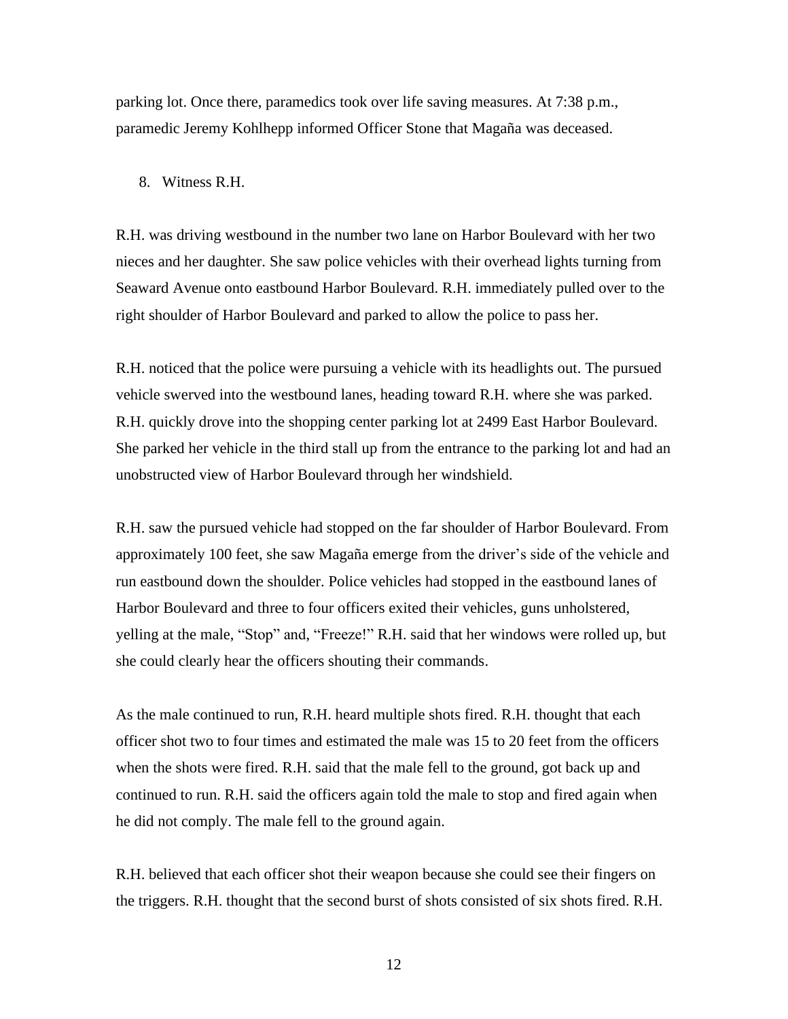parking lot. Once there, paramedics took over life saving measures. At 7:38 p.m., paramedic Jeremy Kohlhepp informed Officer Stone that Magaña was deceased.

#### 8. Witness R.H.

R.H. was driving westbound in the number two lane on Harbor Boulevard with her two nieces and her daughter. She saw police vehicles with their overhead lights turning from Seaward Avenue onto eastbound Harbor Boulevard. R.H. immediately pulled over to the right shoulder of Harbor Boulevard and parked to allow the police to pass her.

R.H. noticed that the police were pursuing a vehicle with its headlights out. The pursued vehicle swerved into the westbound lanes, heading toward R.H. where she was parked. R.H. quickly drove into the shopping center parking lot at 2499 East Harbor Boulevard. She parked her vehicle in the third stall up from the entrance to the parking lot and had an unobstructed view of Harbor Boulevard through her windshield.

R.H. saw the pursued vehicle had stopped on the far shoulder of Harbor Boulevard. From approximately 100 feet, she saw Magaña emerge from the driver's side of the vehicle and run eastbound down the shoulder. Police vehicles had stopped in the eastbound lanes of Harbor Boulevard and three to four officers exited their vehicles, guns unholstered, yelling at the male, "Stop" and, "Freeze!" R.H. said that her windows were rolled up, but she could clearly hear the officers shouting their commands.

As the male continued to run, R.H. heard multiple shots fired. R.H. thought that each officer shot two to four times and estimated the male was 15 to 20 feet from the officers when the shots were fired. R.H. said that the male fell to the ground, got back up and continued to run. R.H. said the officers again told the male to stop and fired again when he did not comply. The male fell to the ground again.

R.H. believed that each officer shot their weapon because she could see their fingers on the triggers. R.H. thought that the second burst of shots consisted of six shots fired. R.H.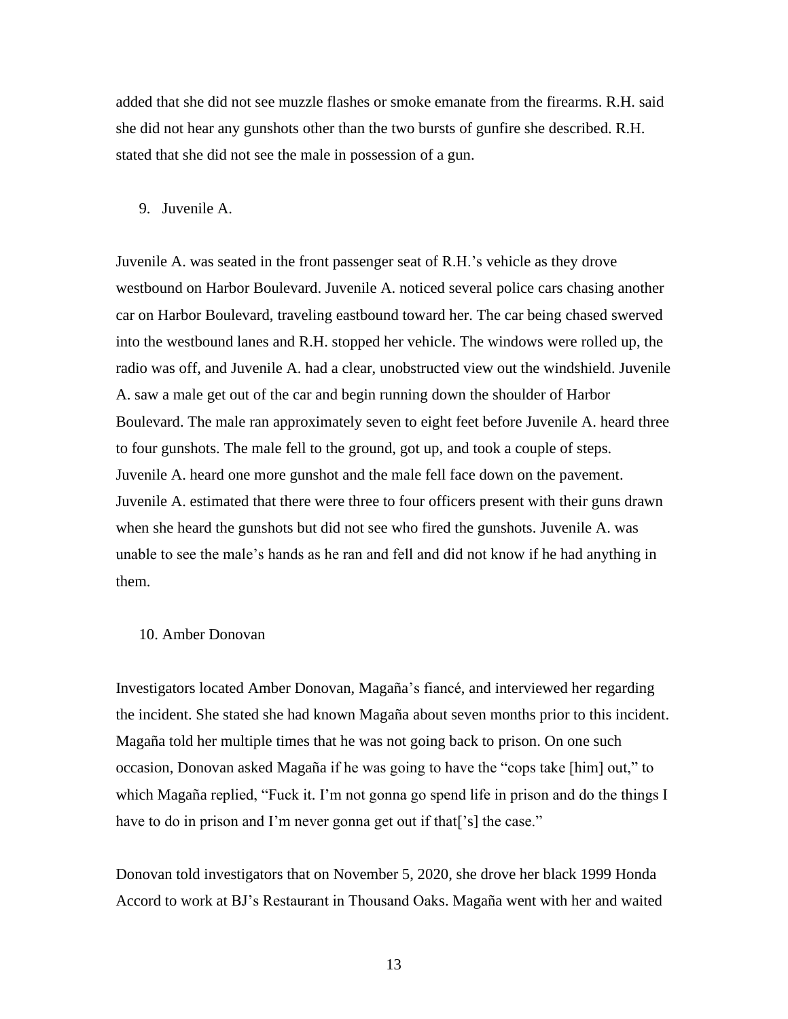added that she did not see muzzle flashes or smoke emanate from the firearms. R.H. said she did not hear any gunshots other than the two bursts of gunfire she described. R.H. stated that she did not see the male in possession of a gun.

#### 9. Juvenile A.

Juvenile A. was seated in the front passenger seat of R.H.'s vehicle as they drove westbound on Harbor Boulevard. Juvenile A. noticed several police cars chasing another car on Harbor Boulevard, traveling eastbound toward her. The car being chased swerved into the westbound lanes and R.H. stopped her vehicle. The windows were rolled up, the radio was off, and Juvenile A. had a clear, unobstructed view out the windshield. Juvenile A. saw a male get out of the car and begin running down the shoulder of Harbor Boulevard. The male ran approximately seven to eight feet before Juvenile A. heard three to four gunshots. The male fell to the ground, got up, and took a couple of steps. Juvenile A. heard one more gunshot and the male fell face down on the pavement. Juvenile A. estimated that there were three to four officers present with their guns drawn when she heard the gunshots but did not see who fired the gunshots. Juvenile A. was unable to see the male's hands as he ran and fell and did not know if he had anything in them.

## 10. Amber Donovan

Investigators located Amber Donovan, Magaña's fiancé, and interviewed her regarding the incident. She stated she had known Magaña about seven months prior to this incident. Magaña told her multiple times that he was not going back to prison. On one such occasion, Donovan asked Magaña if he was going to have the "cops take [him] out," to which Magaña replied, "Fuck it. I'm not gonna go spend life in prison and do the things I have to do in prison and I'm never gonna get out if that<sup>['s]</sup> the case."

Donovan told investigators that on November 5, 2020, she drove her black 1999 Honda Accord to work at BJ's Restaurant in Thousand Oaks. Magaña went with her and waited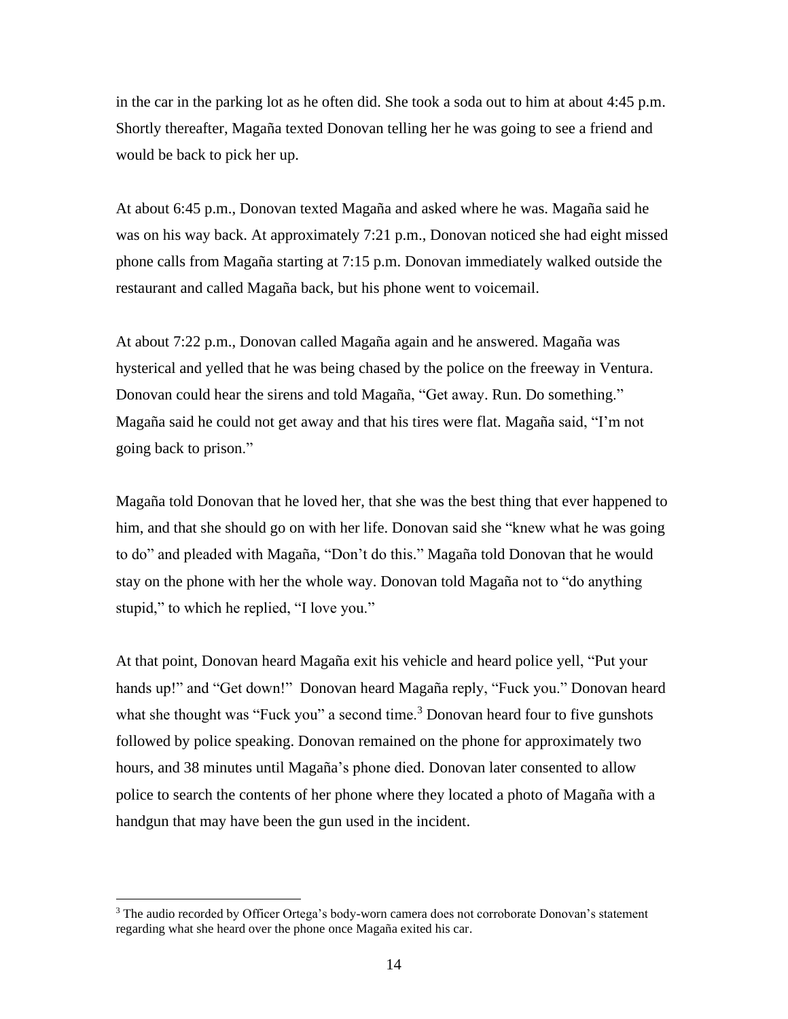in the car in the parking lot as he often did. She took a soda out to him at about 4:45 p.m. Shortly thereafter, Magaña texted Donovan telling her he was going to see a friend and would be back to pick her up.

At about 6:45 p.m., Donovan texted Magaña and asked where he was. Magaña said he was on his way back. At approximately 7:21 p.m., Donovan noticed she had eight missed phone calls from Magaña starting at 7:15 p.m. Donovan immediately walked outside the restaurant and called Magaña back, but his phone went to voicemail.

At about 7:22 p.m., Donovan called Magaña again and he answered. Magaña was hysterical and yelled that he was being chased by the police on the freeway in Ventura. Donovan could hear the sirens and told Magaña, "Get away. Run. Do something." Magaña said he could not get away and that his tires were flat. Magaña said, "I'm not going back to prison."

Magaña told Donovan that he loved her, that she was the best thing that ever happened to him, and that she should go on with her life. Donovan said she "knew what he was going to do" and pleaded with Magaña, "Don't do this." Magaña told Donovan that he would stay on the phone with her the whole way. Donovan told Magaña not to "do anything stupid," to which he replied, "I love you."

At that point, Donovan heard Magaña exit his vehicle and heard police yell, "Put your hands up!" and "Get down!" Donovan heard Magaña reply, "Fuck you." Donovan heard what she thought was "Fuck you" a second time. $3$  Donovan heard four to five gunshots followed by police speaking. Donovan remained on the phone for approximately two hours, and 38 minutes until Magaña's phone died. Donovan later consented to allow police to search the contents of her phone where they located a photo of Magaña with a handgun that may have been the gun used in the incident.

<sup>&</sup>lt;sup>3</sup> The audio recorded by Officer Ortega's body-worn camera does not corroborate Donovan's statement regarding what she heard over the phone once Magaña exited his car.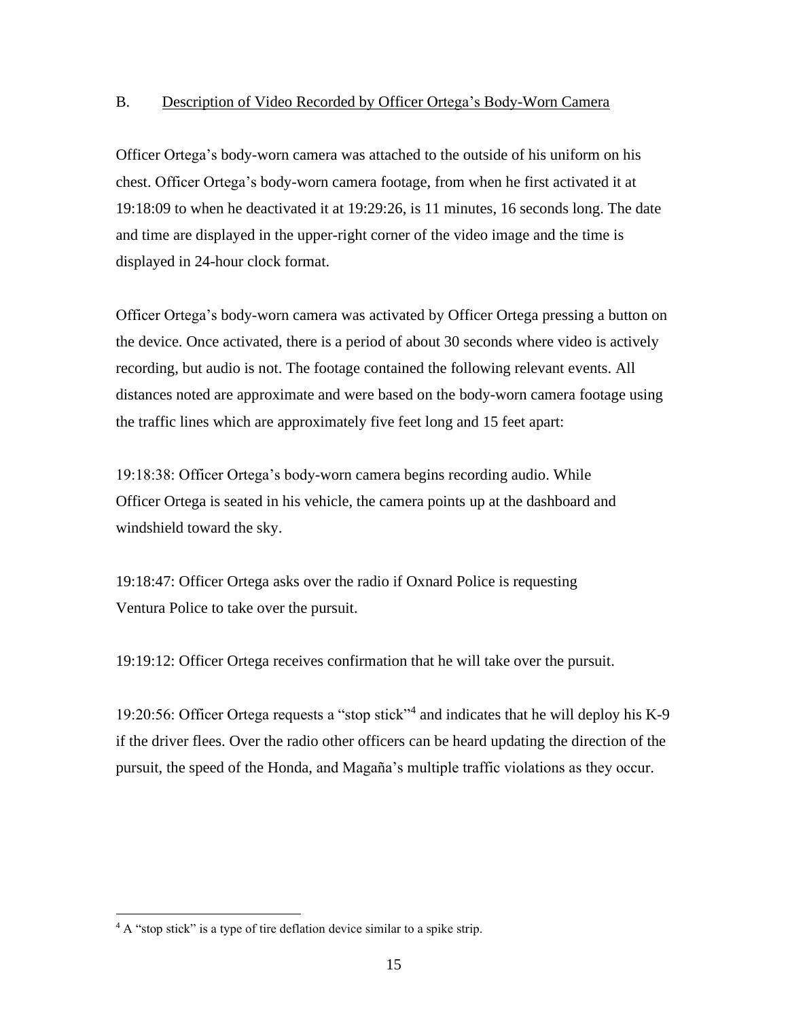# B. Description of Video Recorded by Officer Ortega's Body-Worn Camera

Officer Ortega's body-worn camera was attached to the outside of his uniform on his chest. Officer Ortega's body-worn camera footage, from when he first activated it at 19:18:09 to when he deactivated it at 19:29:26, is 11 minutes, 16 seconds long. The date and time are displayed in the upper-right corner of the video image and the time is displayed in 24-hour clock format.

Officer Ortega's body-worn camera was activated by Officer Ortega pressing a button on the device. Once activated, there is a period of about 30 seconds where video is actively recording, but audio is not. The footage contained the following relevant events. All distances noted are approximate and were based on the body-worn camera footage using the traffic lines which are approximately five feet long and 15 feet apart:

19:18:38: Officer Ortega's body-worn camera begins recording audio. While Officer Ortega is seated in his vehicle, the camera points up at the dashboard and windshield toward the sky.

19:18:47: Officer Ortega asks over the radio if Oxnard Police is requesting Ventura Police to take over the pursuit.

19:19:12: Officer Ortega receives confirmation that he will take over the pursuit.

19:20:56: Officer Ortega requests a "stop stick"<sup>4</sup> and indicates that he will deploy his K-9 if the driver flees. Over the radio other officers can be heard updating the direction of the pursuit, the speed of the Honda, and Magaña's multiple traffic violations as they occur.

 $4 A$  "stop stick" is a type of tire deflation device similar to a spike strip.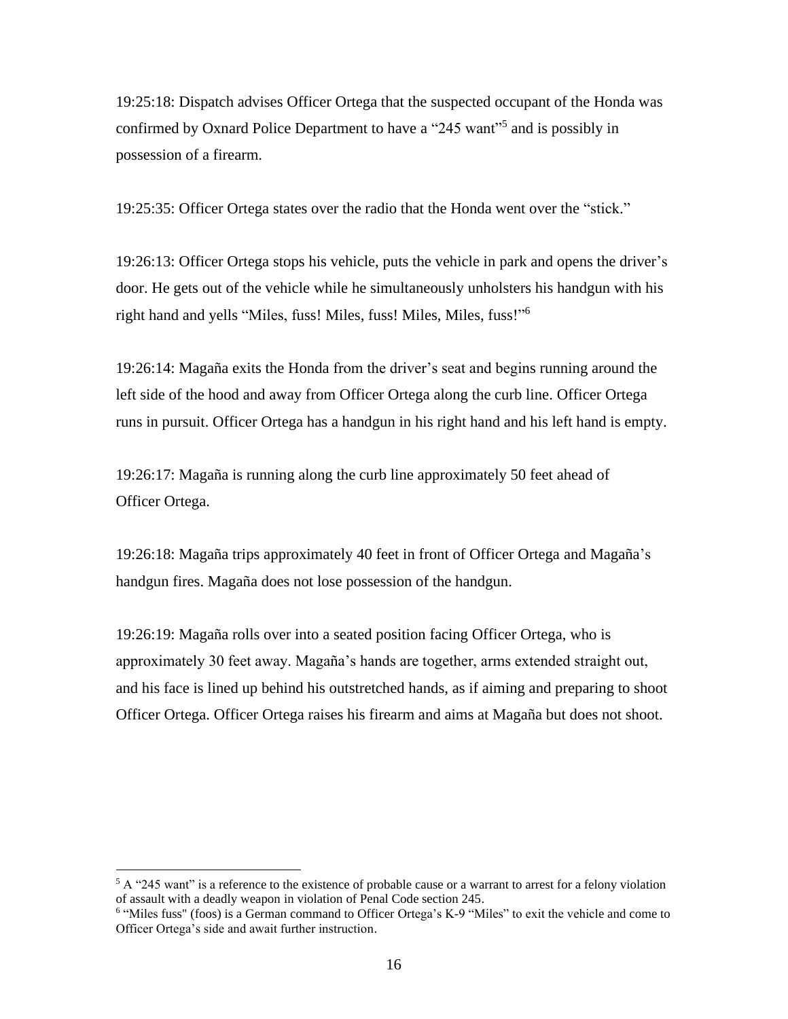19:25:18: Dispatch advises Officer Ortega that the suspected occupant of the Honda was confirmed by Oxnard Police Department to have a "245 want"<sup>5</sup> and is possibly in possession of a firearm.

19:25:35: Officer Ortega states over the radio that the Honda went over the "stick."

19:26:13: Officer Ortega stops his vehicle, puts the vehicle in park and opens the driver's door. He gets out of the vehicle while he simultaneously unholsters his handgun with his right hand and yells "Miles, fuss! Miles, fuss! Miles, Miles, fuss!"<sup>6</sup>

19:26:14: Magaña exits the Honda from the driver's seat and begins running around the left side of the hood and away from Officer Ortega along the curb line. Officer Ortega runs in pursuit. Officer Ortega has a handgun in his right hand and his left hand is empty.

19:26:17: Magaña is running along the curb line approximately 50 feet ahead of Officer Ortega.

19:26:18: Magaña trips approximately 40 feet in front of Officer Ortega and Magaña's handgun fires. Magaña does not lose possession of the handgun.

19:26:19: Magaña rolls over into a seated position facing Officer Ortega, who is approximately 30 feet away. Magaña's hands are together, arms extended straight out, and his face is lined up behind his outstretched hands, as if aiming and preparing to shoot Officer Ortega. Officer Ortega raises his firearm and aims at Magaña but does not shoot.

<sup>&</sup>lt;sup>5</sup> A "245 want" is a reference to the existence of probable cause or a warrant to arrest for a felony violation of assault with a deadly weapon in violation of Penal Code section 245.

<sup>&</sup>lt;sup>6</sup> "Miles fuss" (foos) is a German command to Officer Ortega's K-9 "Miles" to exit the vehicle and come to Officer Ortega's side and await further instruction.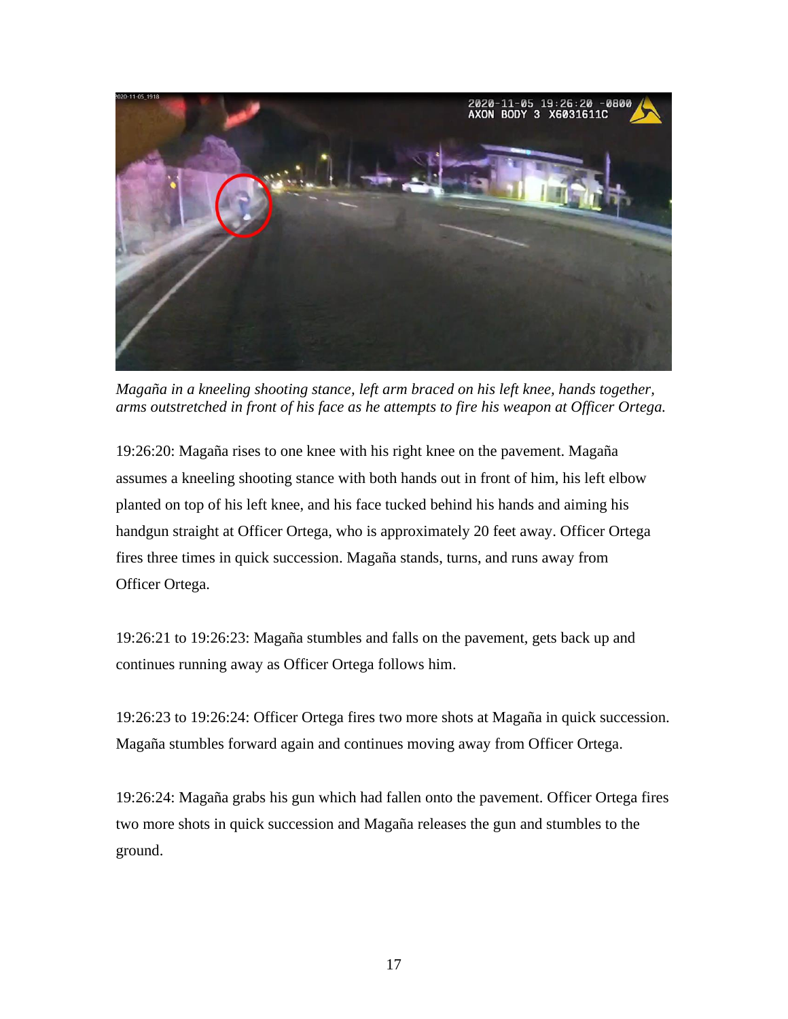

*Magaña in a kneeling shooting stance, left arm braced on his left knee, hands together, arms outstretched in front of his face as he attempts to fire his weapon at Officer Ortega.*

19:26:20: Magaña rises to one knee with his right knee on the pavement. Magaña assumes a kneeling shooting stance with both hands out in front of him, his left elbow planted on top of his left knee, and his face tucked behind his hands and aiming his handgun straight at Officer Ortega, who is approximately 20 feet away. Officer Ortega fires three times in quick succession. Magaña stands, turns, and runs away from Officer Ortega.

19:26:21 to 19:26:23: Magaña stumbles and falls on the pavement, gets back up and continues running away as Officer Ortega follows him.

19:26:23 to 19:26:24: Officer Ortega fires two more shots at Magaña in quick succession. Magaña stumbles forward again and continues moving away from Officer Ortega.

19:26:24: Magaña grabs his gun which had fallen onto the pavement. Officer Ortega fires two more shots in quick succession and Magaña releases the gun and stumbles to the ground.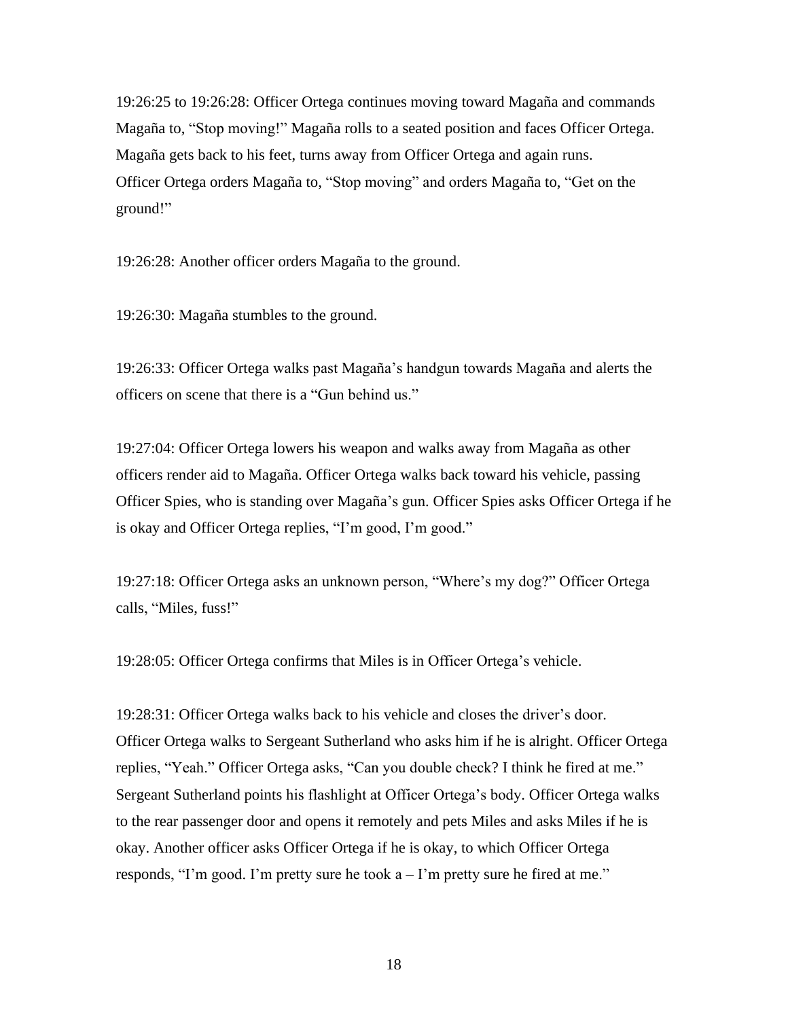19:26:25 to 19:26:28: Officer Ortega continues moving toward Magaña and commands Magaña to, "Stop moving!" Magaña rolls to a seated position and faces Officer Ortega. Magaña gets back to his feet, turns away from Officer Ortega and again runs. Officer Ortega orders Magaña to, "Stop moving" and orders Magaña to, "Get on the ground!"

19:26:28: Another officer orders Magaña to the ground.

19:26:30: Magaña stumbles to the ground.

19:26:33: Officer Ortega walks past Magaña's handgun towards Magaña and alerts the officers on scene that there is a "Gun behind us."

19:27:04: Officer Ortega lowers his weapon and walks away from Magaña as other officers render aid to Magaña. Officer Ortega walks back toward his vehicle, passing Officer Spies, who is standing over Magaña's gun. Officer Spies asks Officer Ortega if he is okay and Officer Ortega replies, "I'm good, I'm good."

19:27:18: Officer Ortega asks an unknown person, "Where's my dog?" Officer Ortega calls, "Miles, fuss!"

19:28:05: Officer Ortega confirms that Miles is in Officer Ortega's vehicle.

19:28:31: Officer Ortega walks back to his vehicle and closes the driver's door. Officer Ortega walks to Sergeant Sutherland who asks him if he is alright. Officer Ortega replies, "Yeah." Officer Ortega asks, "Can you double check? I think he fired at me." Sergeant Sutherland points his flashlight at Officer Ortega's body. Officer Ortega walks to the rear passenger door and opens it remotely and pets Miles and asks Miles if he is okay. Another officer asks Officer Ortega if he is okay, to which Officer Ortega responds, "I'm good. I'm pretty sure he took  $a - I'$ m pretty sure he fired at me."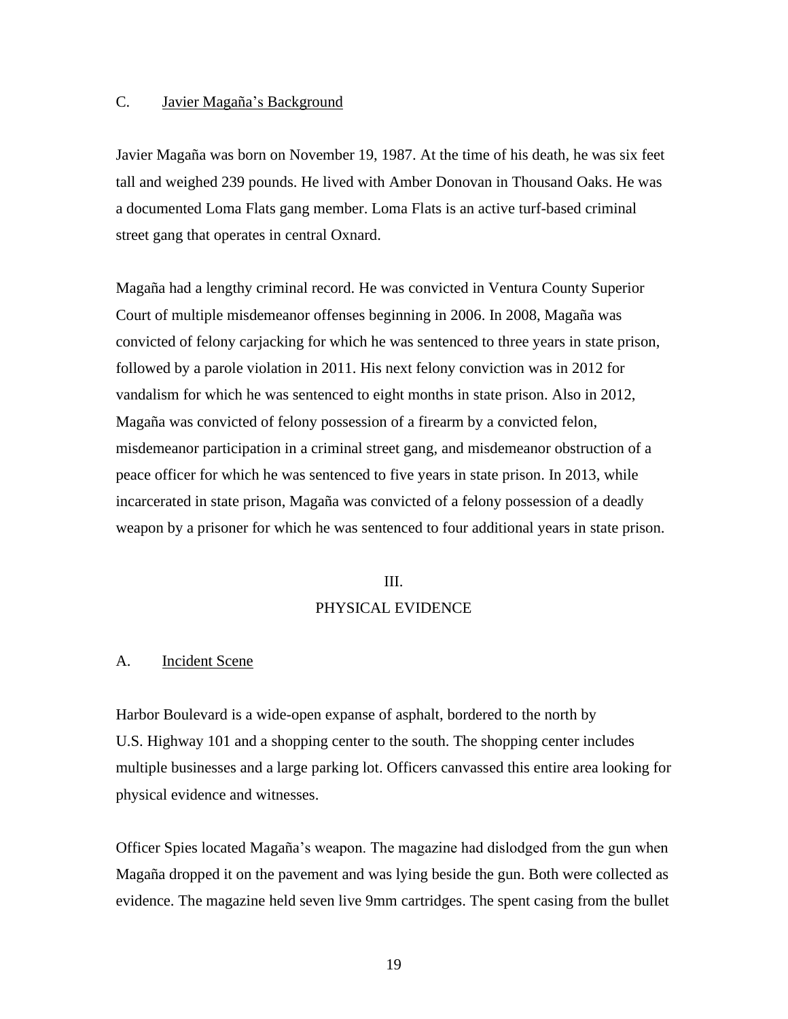# C. Javier Magaña's Background

Javier Magaña was born on November 19, 1987. At the time of his death, he was six feet tall and weighed 239 pounds. He lived with Amber Donovan in Thousand Oaks. He was a documented Loma Flats gang member. Loma Flats is an active turf-based criminal street gang that operates in central Oxnard.

Magaña had a lengthy criminal record. He was convicted in Ventura County Superior Court of multiple misdemeanor offenses beginning in 2006. In 2008, Magaña was convicted of felony carjacking for which he was sentenced to three years in state prison, followed by a parole violation in 2011. His next felony conviction was in 2012 for vandalism for which he was sentenced to eight months in state prison. Also in 2012, Magaña was convicted of felony possession of a firearm by a convicted felon, misdemeanor participation in a criminal street gang, and misdemeanor obstruction of a peace officer for which he was sentenced to five years in state prison. In 2013, while incarcerated in state prison, Magaña was convicted of a felony possession of a deadly weapon by a prisoner for which he was sentenced to four additional years in state prison.

#### III.

#### PHYSICAL EVIDENCE

# A. Incident Scene

Harbor Boulevard is a wide-open expanse of asphalt, bordered to the north by U.S. Highway 101 and a shopping center to the south. The shopping center includes multiple businesses and a large parking lot. Officers canvassed this entire area looking for physical evidence and witnesses.

Officer Spies located Magaña's weapon. The magazine had dislodged from the gun when Magaña dropped it on the pavement and was lying beside the gun. Both were collected as evidence. The magazine held seven live 9mm cartridges. The spent casing from the bullet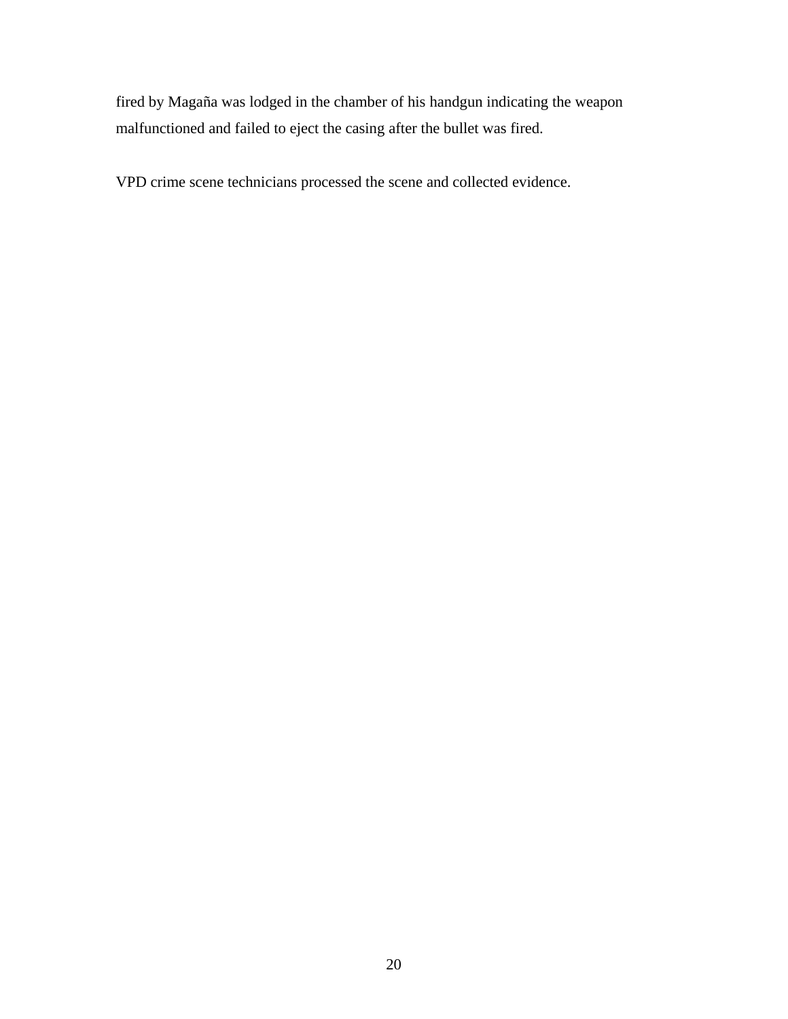fired by Magaña was lodged in the chamber of his handgun indicating the weapon malfunctioned and failed to eject the casing after the bullet was fired.

VPD crime scene technicians processed the scene and collected evidence.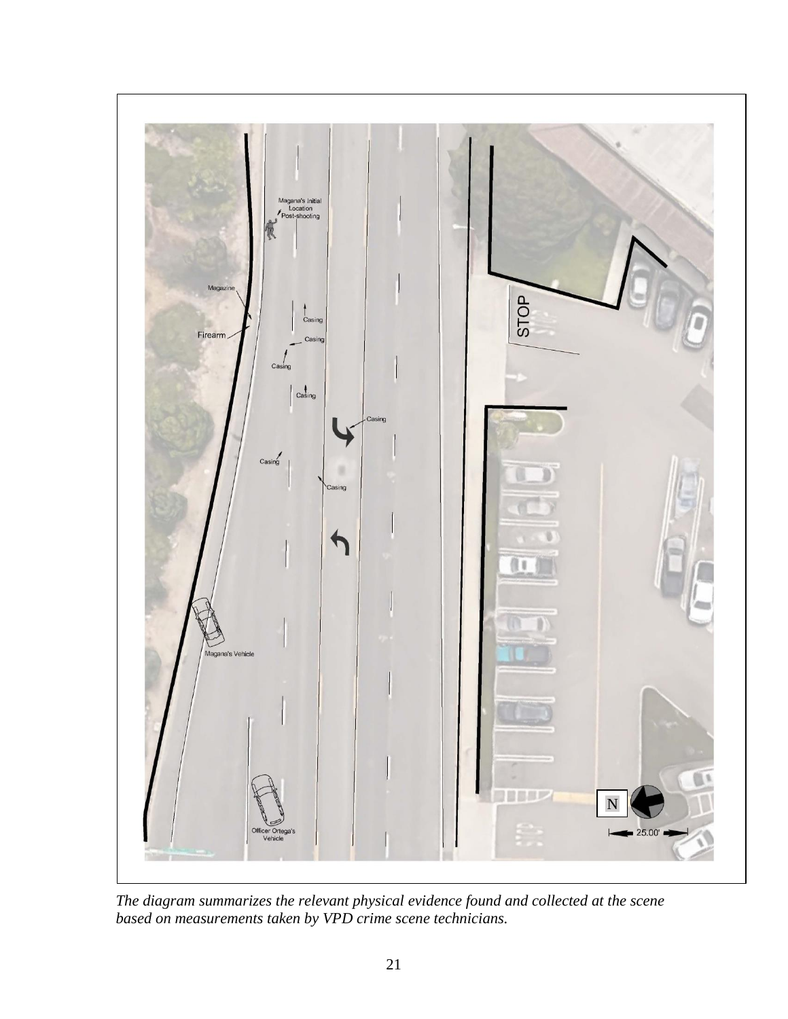

*The diagram summarizes the relevant physical evidence found and collected at the scene based on measurements taken by VPD crime scene technicians.*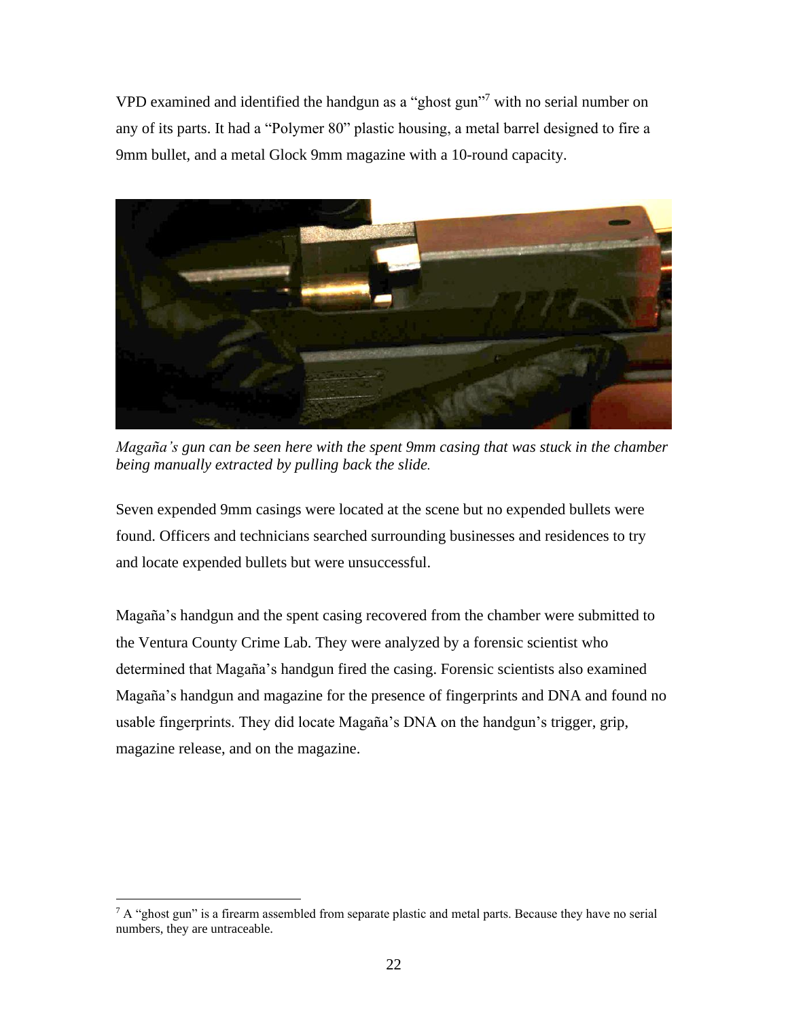VPD examined and identified the handgun as a "ghost gun"<sup>7</sup> with no serial number on any of its parts. It had a "Polymer 80" plastic housing, a metal barrel designed to fire a 9mm bullet, and a metal Glock 9mm magazine with a 10-round capacity.



*Magaña's gun can be seen here with the spent 9mm casing that was stuck in the chamber being manually extracted by pulling back the slide.*

Seven expended 9mm casings were located at the scene but no expended bullets were found. Officers and technicians searched surrounding businesses and residences to try and locate expended bullets but were unsuccessful.

Magaña's handgun and the spent casing recovered from the chamber were submitted to the Ventura County Crime Lab. They were analyzed by a forensic scientist who determined that Magaña's handgun fired the casing. Forensic scientists also examined Magaña's handgun and magazine for the presence of fingerprints and DNA and found no usable fingerprints. They did locate Magaña's DNA on the handgun's trigger, grip, magazine release, and on the magazine.

 $7$  A "ghost gun" is a firearm assembled from separate plastic and metal parts. Because they have no serial numbers, they are untraceable.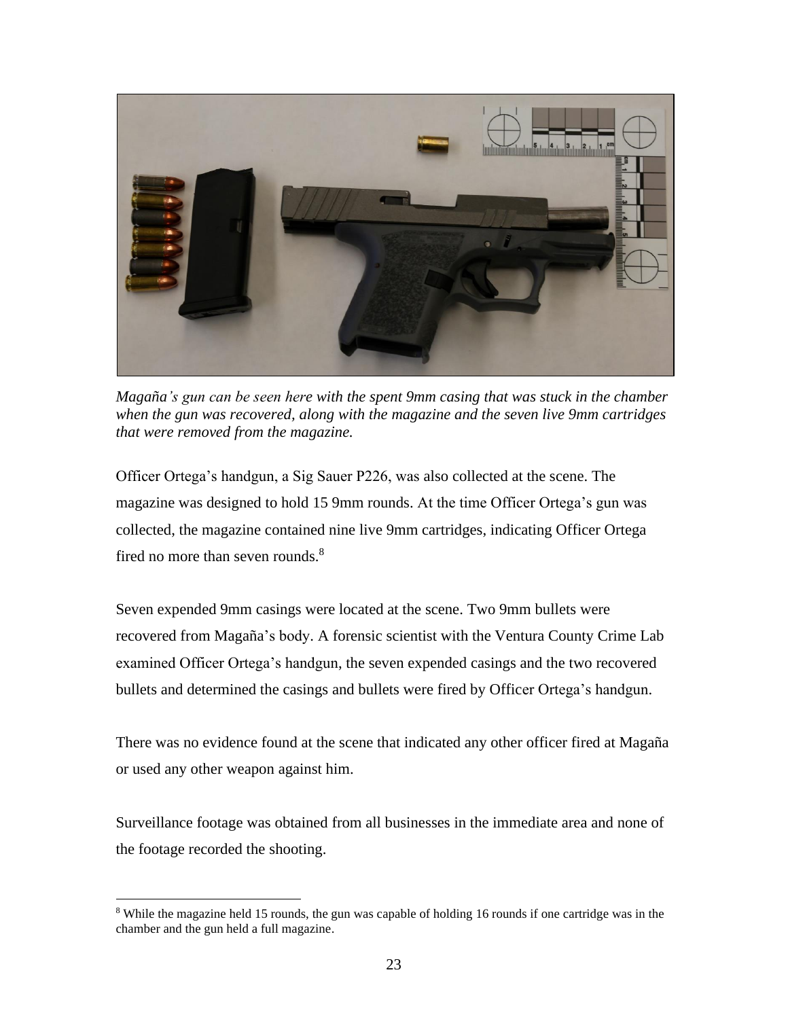

*Magaña's gun can be seen here with the spent 9mm casing that was stuck in the chamber when the gun was recovered, along with the magazine and the seven live 9mm cartridges that were removed from the magazine.*

Officer Ortega's handgun, a Sig Sauer P226, was also collected at the scene. The magazine was designed to hold 15 9mm rounds. At the time Officer Ortega's gun was collected, the magazine contained nine live 9mm cartridges, indicating Officer Ortega fired no more than seven rounds. $8<sup>8</sup>$ 

Seven expended 9mm casings were located at the scene. Two 9mm bullets were recovered from Magaña's body. A forensic scientist with the Ventura County Crime Lab examined Officer Ortega's handgun, the seven expended casings and the two recovered bullets and determined the casings and bullets were fired by Officer Ortega's handgun.

There was no evidence found at the scene that indicated any other officer fired at Magaña or used any other weapon against him.

Surveillance footage was obtained from all businesses in the immediate area and none of the footage recorded the shooting.

<sup>&</sup>lt;sup>8</sup> While the magazine held 15 rounds, the gun was capable of holding 16 rounds if one cartridge was in the chamber and the gun held a full magazine.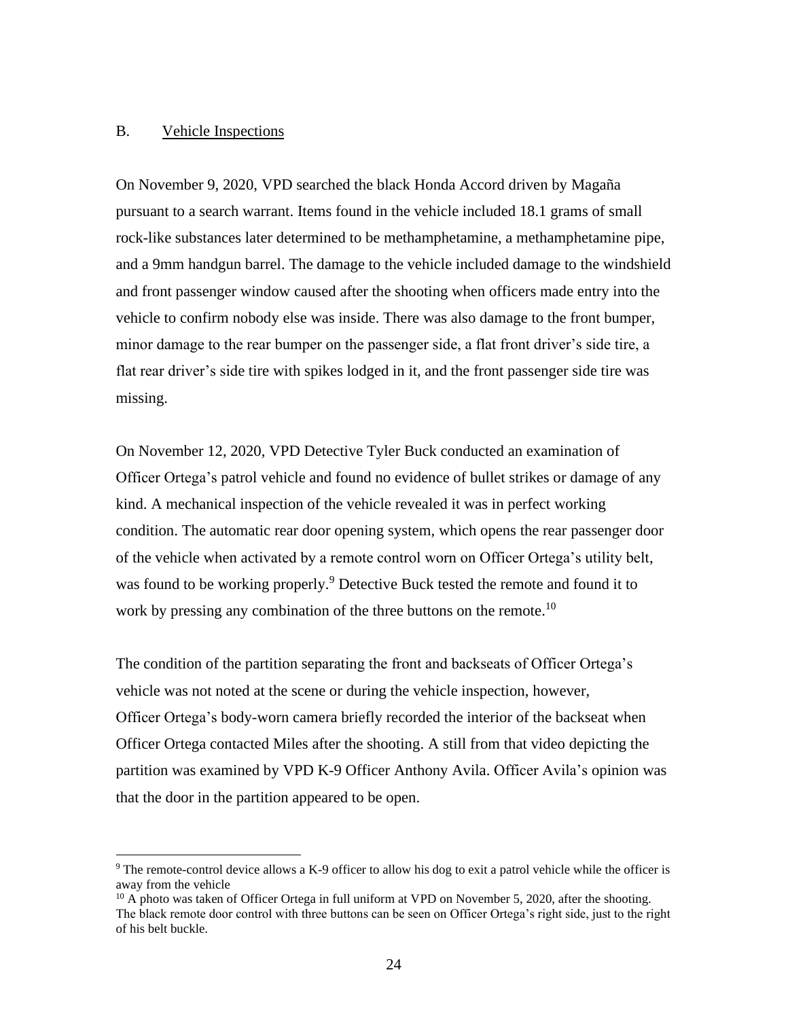## B. Vehicle Inspections

On November 9, 2020, VPD searched the black Honda Accord driven by Magaña pursuant to a search warrant. Items found in the vehicle included 18.1 grams of small rock-like substances later determined to be methamphetamine, a methamphetamine pipe, and a 9mm handgun barrel. The damage to the vehicle included damage to the windshield and front passenger window caused after the shooting when officers made entry into the vehicle to confirm nobody else was inside. There was also damage to the front bumper, minor damage to the rear bumper on the passenger side, a flat front driver's side tire, a flat rear driver's side tire with spikes lodged in it, and the front passenger side tire was missing.

On November 12, 2020, VPD Detective Tyler Buck conducted an examination of Officer Ortega's patrol vehicle and found no evidence of bullet strikes or damage of any kind. A mechanical inspection of the vehicle revealed it was in perfect working condition. The automatic rear door opening system, which opens the rear passenger door of the vehicle when activated by a remote control worn on Officer Ortega's utility belt, was found to be working properly.<sup>9</sup> Detective Buck tested the remote and found it to work by pressing any combination of the three buttons on the remote.<sup>10</sup>

The condition of the partition separating the front and backseats of Officer Ortega's vehicle was not noted at the scene or during the vehicle inspection, however, Officer Ortega's body-worn camera briefly recorded the interior of the backseat when Officer Ortega contacted Miles after the shooting. A still from that video depicting the partition was examined by VPD K-9 Officer Anthony Avila. Officer Avila's opinion was that the door in the partition appeared to be open.

<sup>&</sup>lt;sup>9</sup> The remote-control device allows a K-9 officer to allow his dog to exit a patrol vehicle while the officer is away from the vehicle

<sup>&</sup>lt;sup>10</sup> A photo was taken of Officer Ortega in full uniform at VPD on November 5, 2020, after the shooting. The black remote door control with three buttons can be seen on Officer Ortega's right side, just to the right of his belt buckle.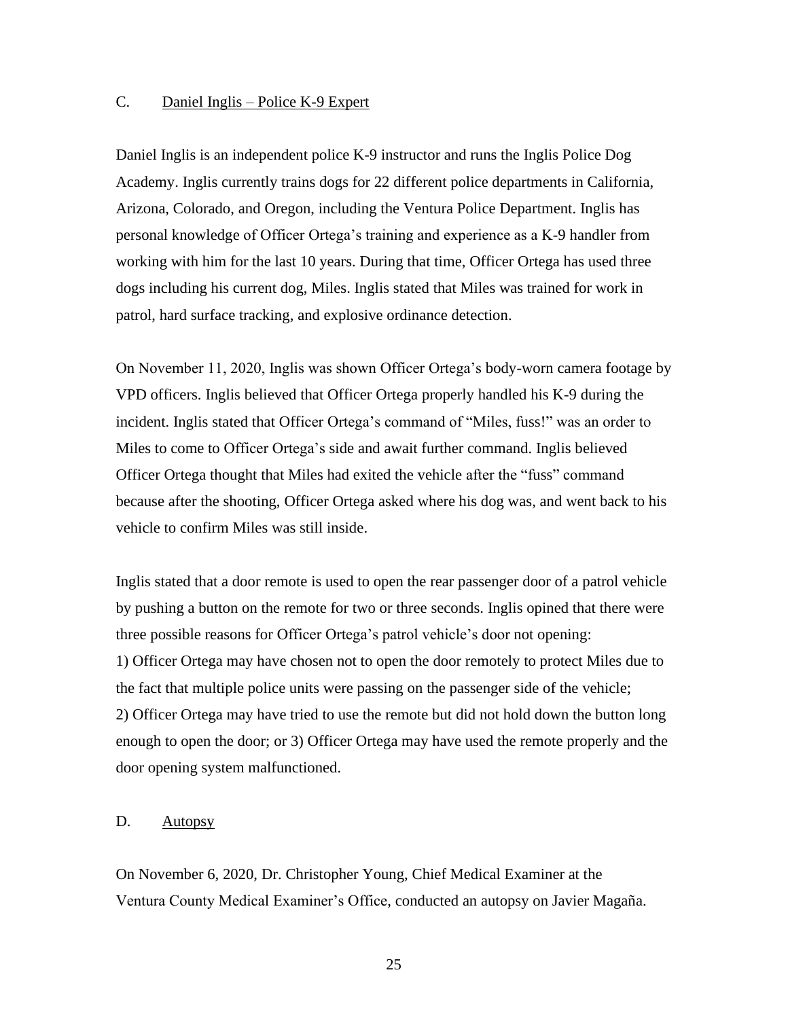# C. Daniel Inglis – Police K-9 Expert

Daniel Inglis is an independent police K-9 instructor and runs the Inglis Police Dog Academy. Inglis currently trains dogs for 22 different police departments in California, Arizona, Colorado, and Oregon, including the Ventura Police Department. Inglis has personal knowledge of Officer Ortega's training and experience as a K-9 handler from working with him for the last 10 years. During that time, Officer Ortega has used three dogs including his current dog, Miles. Inglis stated that Miles was trained for work in patrol, hard surface tracking, and explosive ordinance detection.

On November 11, 2020, Inglis was shown Officer Ortega's body-worn camera footage by VPD officers. Inglis believed that Officer Ortega properly handled his K-9 during the incident. Inglis stated that Officer Ortega's command of "Miles, fuss!" was an order to Miles to come to Officer Ortega's side and await further command. Inglis believed Officer Ortega thought that Miles had exited the vehicle after the "fuss" command because after the shooting, Officer Ortega asked where his dog was, and went back to his vehicle to confirm Miles was still inside.

Inglis stated that a door remote is used to open the rear passenger door of a patrol vehicle by pushing a button on the remote for two or three seconds. Inglis opined that there were three possible reasons for Officer Ortega's patrol vehicle's door not opening: 1) Officer Ortega may have chosen not to open the door remotely to protect Miles due to the fact that multiple police units were passing on the passenger side of the vehicle; 2) Officer Ortega may have tried to use the remote but did not hold down the button long enough to open the door; or 3) Officer Ortega may have used the remote properly and the door opening system malfunctioned.

# D. Autopsy

On November 6, 2020, Dr. Christopher Young, Chief Medical Examiner at the Ventura County Medical Examiner's Office, conducted an autopsy on Javier Magaña.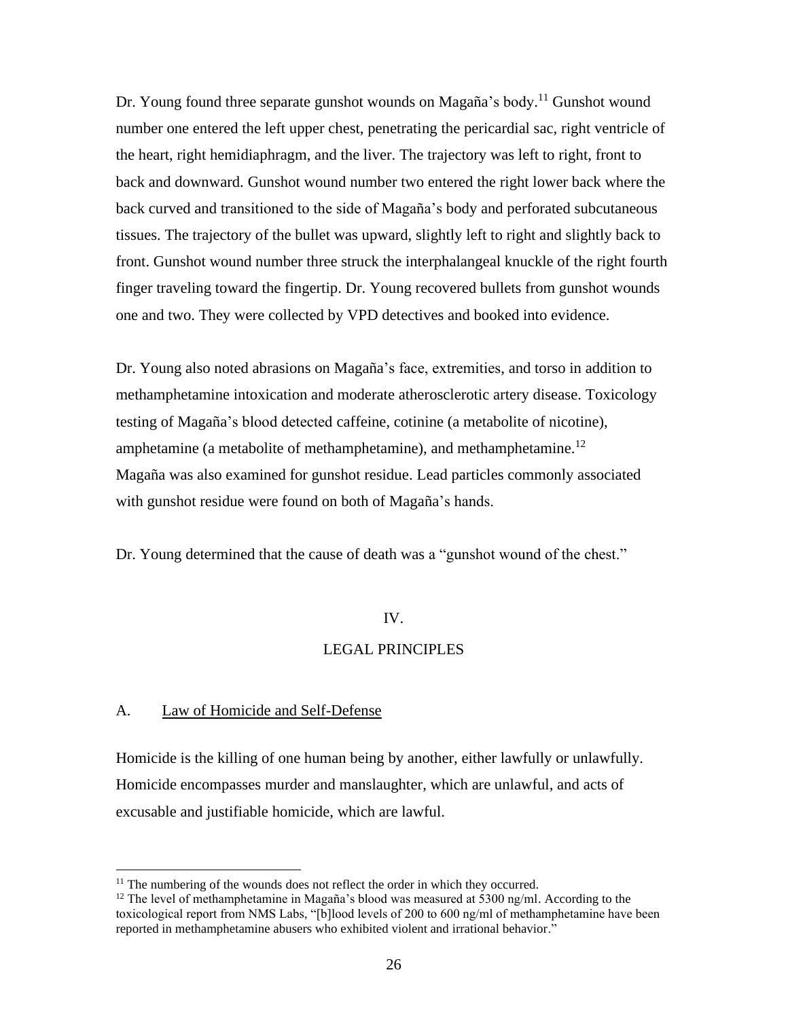Dr. Young found three separate gunshot wounds on Magaña's body.<sup>11</sup> Gunshot wound number one entered the left upper chest, penetrating the pericardial sac, right ventricle of the heart, right hemidiaphragm, and the liver. The trajectory was left to right, front to back and downward. Gunshot wound number two entered the right lower back where the back curved and transitioned to the side of Magaña's body and perforated subcutaneous tissues. The trajectory of the bullet was upward, slightly left to right and slightly back to front. Gunshot wound number three struck the interphalangeal knuckle of the right fourth finger traveling toward the fingertip. Dr. Young recovered bullets from gunshot wounds one and two. They were collected by VPD detectives and booked into evidence.

Dr. Young also noted abrasions on Magaña's face, extremities, and torso in addition to methamphetamine intoxication and moderate atherosclerotic artery disease. Toxicology testing of Magaña's blood detected caffeine, cotinine (a metabolite of nicotine), amphetamine (a metabolite of methamphetamine), and methamphetamine.<sup>12</sup> Magaña was also examined for gunshot residue. Lead particles commonly associated with gunshot residue were found on both of Magaña's hands.

Dr. Young determined that the cause of death was a "gunshot wound of the chest."

## IV.

## LEGAL PRINCIPLES

## A. Law of Homicide and Self-Defense

Homicide is the killing of one human being by another, either lawfully or unlawfully. Homicide encompasses murder and manslaughter, which are unlawful, and acts of excusable and justifiable homicide, which are lawful.

<sup>&</sup>lt;sup>11</sup> The numbering of the wounds does not reflect the order in which they occurred.

<sup>&</sup>lt;sup>12</sup> The level of methamphetamine in Magaña's blood was measured at 5300 ng/ml. According to the toxicological report from NMS Labs, "[b]lood levels of 200 to 600 ng/ml of methamphetamine have been reported in methamphetamine abusers who exhibited violent and irrational behavior."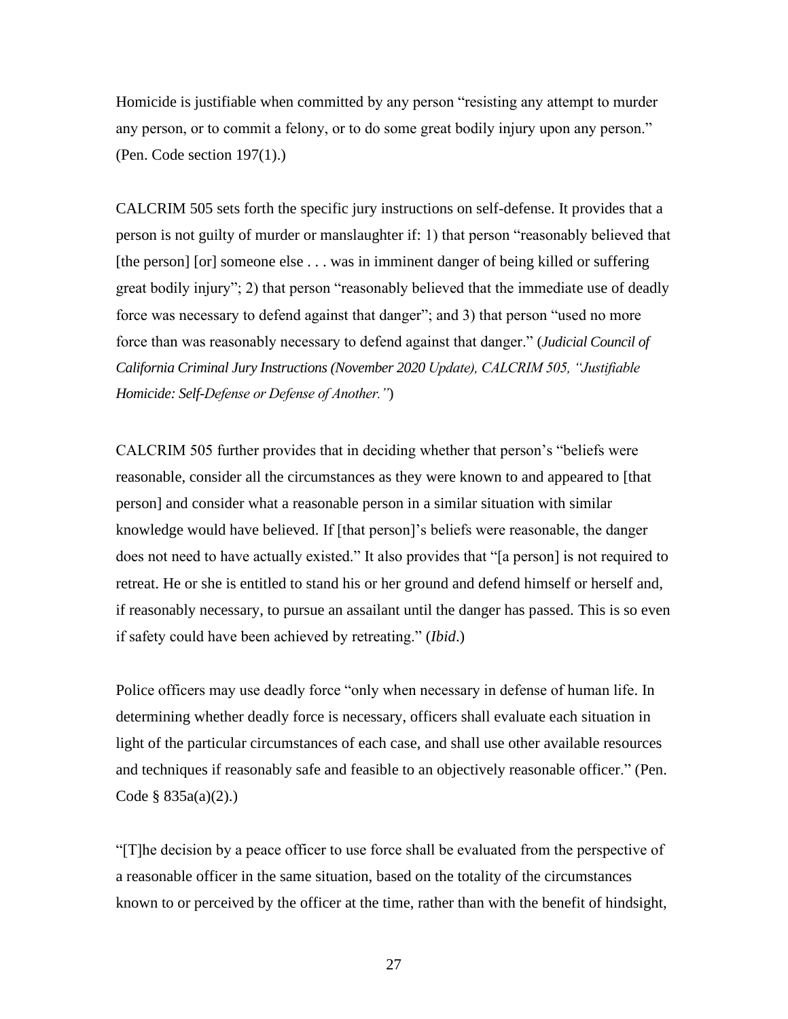Homicide is justifiable when committed by any person "resisting any attempt to murder any person, or to commit a felony, or to do some great bodily injury upon any person." (Pen. Code section 197(1).)

CALCRIM 505 sets forth the specific jury instructions on self-defense. It provides that a person is not guilty of murder or manslaughter if: 1) that person "reasonably believed that [the person] [or] someone else . . . was in imminent danger of being killed or suffering great bodily injury"; 2) that person "reasonably believed that the immediate use of deadly force was necessary to defend against that danger"; and 3) that person "used no more force than was reasonably necessary to defend against that danger." (*Judicial Council of California Criminal Jury Instructions (November 2020 Update), CALCRIM 505, "Justifiable Homicide: Self-Defense or Defense of Another."*)

CALCRIM 505 further provides that in deciding whether that person's "beliefs were reasonable, consider all the circumstances as they were known to and appeared to [that person] and consider what a reasonable person in a similar situation with similar knowledge would have believed. If [that person]'s beliefs were reasonable, the danger does not need to have actually existed." It also provides that "[a person] is not required to retreat. He or she is entitled to stand his or her ground and defend himself or herself and, if reasonably necessary, to pursue an assailant until the danger has passed. This is so even if safety could have been achieved by retreating." (*Ibid*.)

Police officers may use deadly force "only when necessary in defense of human life. In determining whether deadly force is necessary, officers shall evaluate each situation in light of the particular circumstances of each case, and shall use other available resources and techniques if reasonably safe and feasible to an objectively reasonable officer." (Pen. Code § 835a(a)(2).)

"[T]he decision by a peace officer to use force shall be evaluated from the perspective of a reasonable officer in the same situation, based on the totality of the circumstances known to or perceived by the officer at the time, rather than with the benefit of hindsight,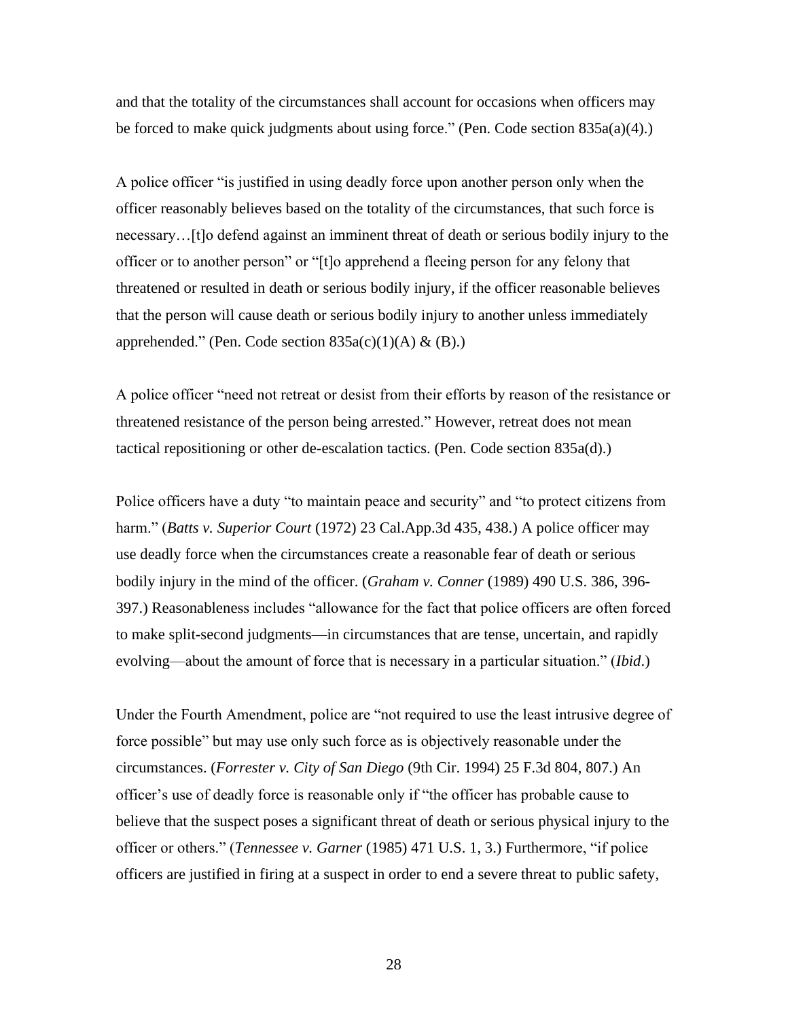and that the totality of the circumstances shall account for occasions when officers may be forced to make quick judgments about using force." (Pen. Code section 835a(a)(4).)

A police officer "is justified in using deadly force upon another person only when the officer reasonably believes based on the totality of the circumstances, that such force is necessary…[t]o defend against an imminent threat of death or serious bodily injury to the officer or to another person" or "[t]o apprehend a fleeing person for any felony that threatened or resulted in death or serious bodily injury, if the officer reasonable believes that the person will cause death or serious bodily injury to another unless immediately apprehended." (Pen. Code section  $835a(c)(1)(A) \& (B).$ )

A police officer "need not retreat or desist from their efforts by reason of the resistance or threatened resistance of the person being arrested." However, retreat does not mean tactical repositioning or other de-escalation tactics. (Pen. Code section 835a(d).)

Police officers have a duty "to maintain peace and security" and "to protect citizens from harm." (*Batts v. Superior Court* (1972) 23 Cal.App.3d 435, 438.) A police officer may use deadly force when the circumstances create a reasonable fear of death or serious bodily injury in the mind of the officer. (*Graham v. Conner* (1989) 490 U.S. 386, 396- 397.) Reasonableness includes "allowance for the fact that police officers are often forced to make split-second judgments—in circumstances that are tense, uncertain, and rapidly evolving—about the amount of force that is necessary in a particular situation." (*Ibid*.)

Under the Fourth Amendment, police are "not required to use the least intrusive degree of force possible" but may use only such force as is objectively reasonable under the circumstances. (*Forrester v. City of San Diego* (9th Cir. 1994) 25 F.3d 804, 807.) An officer's use of deadly force is reasonable only if "the officer has probable cause to believe that the suspect poses a significant threat of death or serious physical injury to the officer or others." (*Tennessee v. Garner* (1985) 471 U.S. 1, 3.) Furthermore, "if police officers are justified in firing at a suspect in order to end a severe threat to public safety,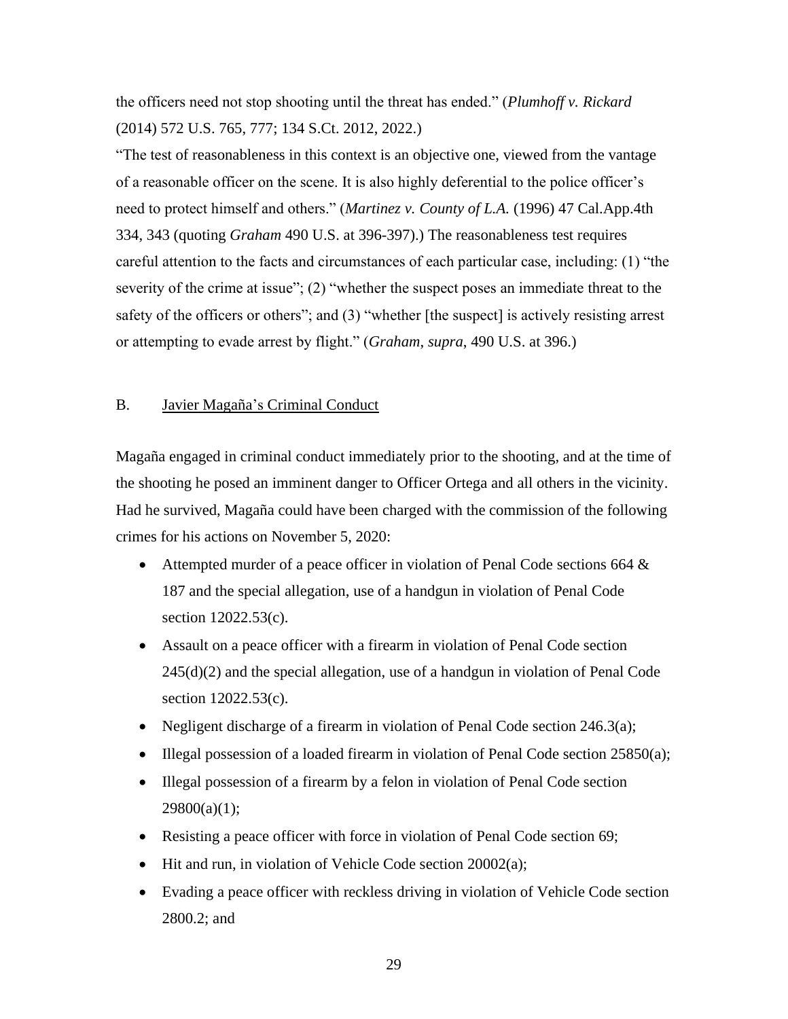the officers need not stop shooting until the threat has ended." (*Plumhoff v. Rickard* (2014) 572 U.S. 765, 777; 134 S.Ct. 2012, 2022.)

"The test of reasonableness in this context is an objective one, viewed from the vantage of a reasonable officer on the scene. It is also highly deferential to the police officer's need to protect himself and others." (*Martinez v. County of L.A.* (1996) 47 Cal.App.4th 334, 343 (quoting *Graham* 490 U.S. at 396-397).) The reasonableness test requires careful attention to the facts and circumstances of each particular case, including: (1) "the severity of the crime at issue"; (2) "whether the suspect poses an immediate threat to the safety of the officers or others"; and (3) "whether [the suspect] is actively resisting arrest or attempting to evade arrest by flight." (*Graham*, *supra*, 490 U.S. at 396.)

#### B. Javier Magaña's Criminal Conduct

Magaña engaged in criminal conduct immediately prior to the shooting, and at the time of the shooting he posed an imminent danger to Officer Ortega and all others in the vicinity. Had he survived, Magaña could have been charged with the commission of the following crimes for his actions on November 5, 2020:

- Attempted murder of a peace officer in violation of Penal Code sections 664 & 187 and the special allegation, use of a handgun in violation of Penal Code section 12022.53(c).
- Assault on a peace officer with a firearm in violation of Penal Code section 245(d)(2) and the special allegation, use of a handgun in violation of Penal Code section 12022.53(c).
- Negligent discharge of a firearm in violation of Penal Code section 246.3(a);
- Illegal possession of a loaded firearm in violation of Penal Code section 25850(a);
- Illegal possession of a firearm by a felon in violation of Penal Code section  $29800(a)(1);$
- Resisting a peace officer with force in violation of Penal Code section 69;
- Hit and run, in violation of Vehicle Code section 20002(a);
- Evading a peace officer with reckless driving in violation of Vehicle Code section 2800.2; and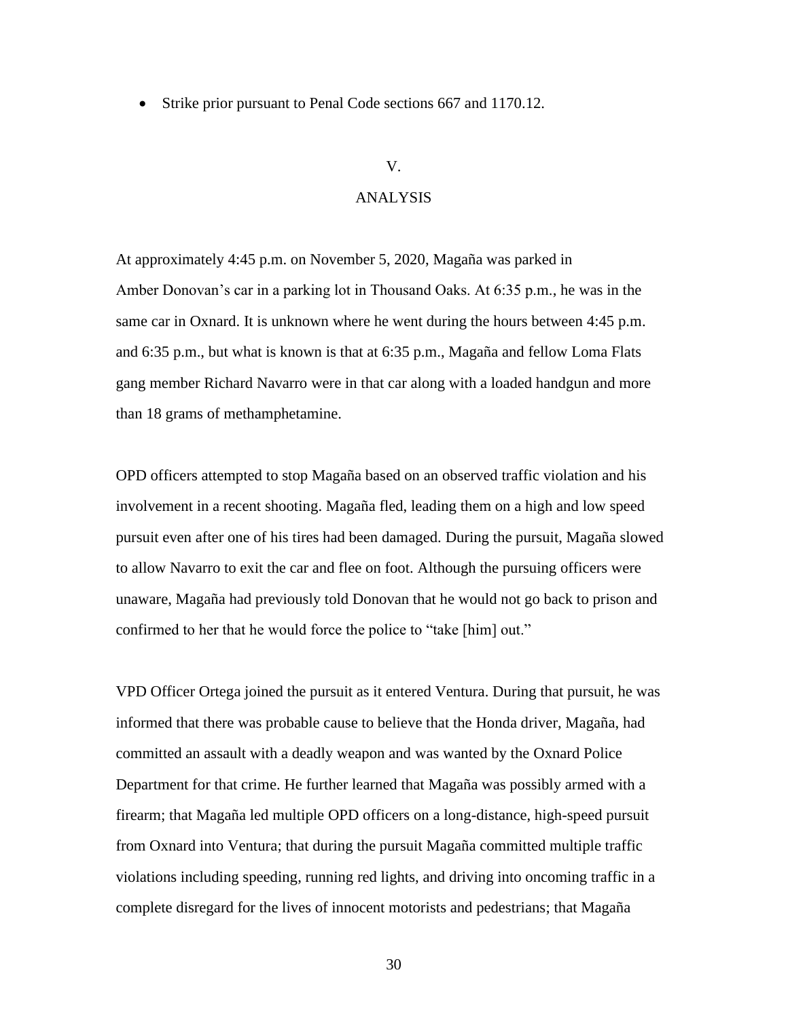• Strike prior pursuant to Penal Code sections 667 and 1170.12.

#### V.

# ANALYSIS

At approximately 4:45 p.m. on November 5, 2020, Magaña was parked in Amber Donovan's car in a parking lot in Thousand Oaks. At 6:35 p.m., he was in the same car in Oxnard. It is unknown where he went during the hours between 4:45 p.m. and 6:35 p.m., but what is known is that at 6:35 p.m., Magaña and fellow Loma Flats gang member Richard Navarro were in that car along with a loaded handgun and more than 18 grams of methamphetamine.

OPD officers attempted to stop Magaña based on an observed traffic violation and his involvement in a recent shooting. Magaña fled, leading them on a high and low speed pursuit even after one of his tires had been damaged. During the pursuit, Magaña slowed to allow Navarro to exit the car and flee on foot. Although the pursuing officers were unaware, Magaña had previously told Donovan that he would not go back to prison and confirmed to her that he would force the police to "take [him] out."

VPD Officer Ortega joined the pursuit as it entered Ventura. During that pursuit, he was informed that there was probable cause to believe that the Honda driver, Magaña, had committed an assault with a deadly weapon and was wanted by the Oxnard Police Department for that crime. He further learned that Magaña was possibly armed with a firearm; that Magaña led multiple OPD officers on a long-distance, high-speed pursuit from Oxnard into Ventura; that during the pursuit Magaña committed multiple traffic violations including speeding, running red lights, and driving into oncoming traffic in a complete disregard for the lives of innocent motorists and pedestrians; that Magaña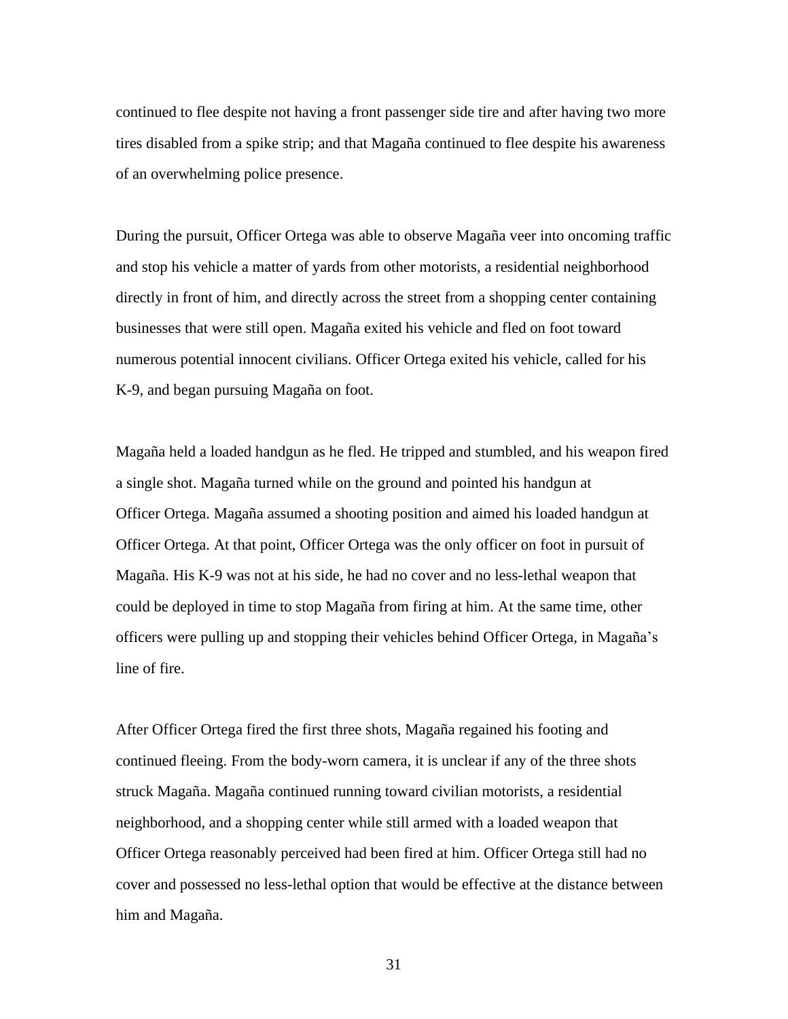continued to flee despite not having a front passenger side tire and after having two more tires disabled from a spike strip; and that Magaña continued to flee despite his awareness of an overwhelming police presence.

During the pursuit, Officer Ortega was able to observe Magaña veer into oncoming traffic and stop his vehicle a matter of yards from other motorists, a residential neighborhood directly in front of him, and directly across the street from a shopping center containing businesses that were still open. Magaña exited his vehicle and fled on foot toward numerous potential innocent civilians. Officer Ortega exited his vehicle, called for his K-9, and began pursuing Magaña on foot.

Magaña held a loaded handgun as he fled. He tripped and stumbled, and his weapon fired a single shot. Magaña turned while on the ground and pointed his handgun at Officer Ortega. Magaña assumed a shooting position and aimed his loaded handgun at Officer Ortega. At that point, Officer Ortega was the only officer on foot in pursuit of Magaña. His K-9 was not at his side, he had no cover and no less-lethal weapon that could be deployed in time to stop Magaña from firing at him. At the same time, other officers were pulling up and stopping their vehicles behind Officer Ortega, in Magaña's line of fire.

After Officer Ortega fired the first three shots, Magaña regained his footing and continued fleeing. From the body-worn camera, it is unclear if any of the three shots struck Magaña. Magaña continued running toward civilian motorists, a residential neighborhood, and a shopping center while still armed with a loaded weapon that Officer Ortega reasonably perceived had been fired at him. Officer Ortega still had no cover and possessed no less-lethal option that would be effective at the distance between him and Magaña.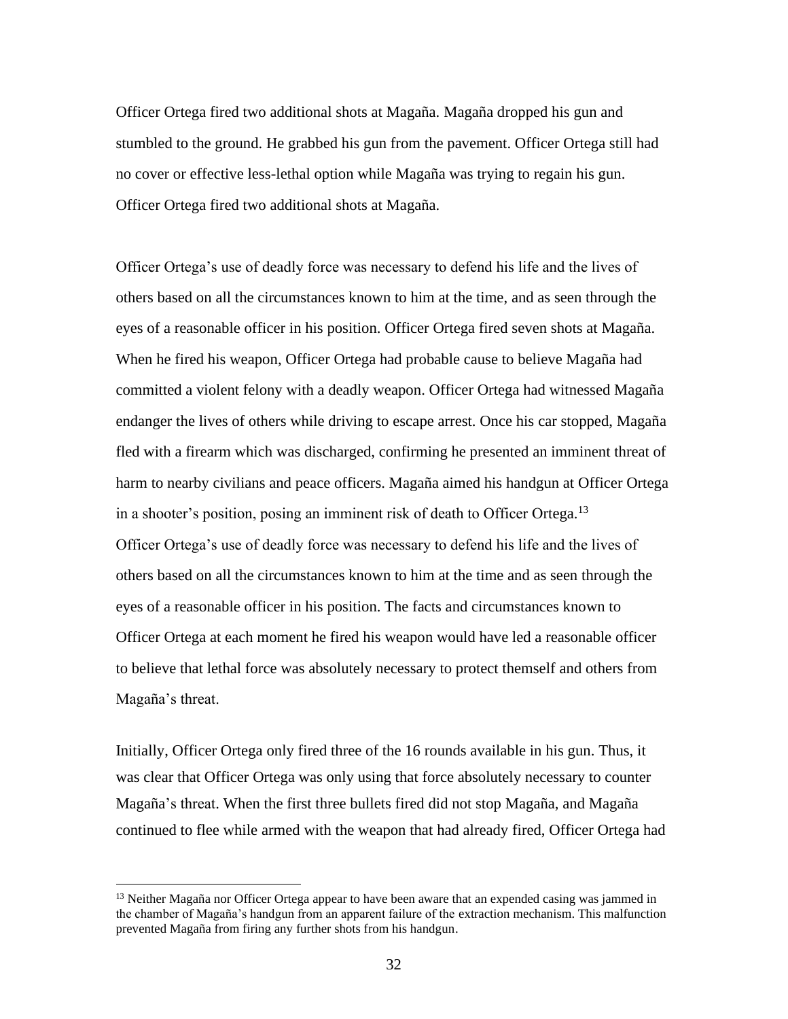Officer Ortega fired two additional shots at Magaña. Magaña dropped his gun and stumbled to the ground. He grabbed his gun from the pavement. Officer Ortega still had no cover or effective less-lethal option while Magaña was trying to regain his gun. Officer Ortega fired two additional shots at Magaña.

Officer Ortega's use of deadly force was necessary to defend his life and the lives of others based on all the circumstances known to him at the time, and as seen through the eyes of a reasonable officer in his position. Officer Ortega fired seven shots at Magaña. When he fired his weapon, Officer Ortega had probable cause to believe Magaña had committed a violent felony with a deadly weapon. Officer Ortega had witnessed Magaña endanger the lives of others while driving to escape arrest. Once his car stopped, Magaña fled with a firearm which was discharged, confirming he presented an imminent threat of harm to nearby civilians and peace officers. Magaña aimed his handgun at Officer Ortega in a shooter's position, posing an imminent risk of death to Officer Ortega.<sup>13</sup> Officer Ortega's use of deadly force was necessary to defend his life and the lives of others based on all the circumstances known to him at the time and as seen through the eyes of a reasonable officer in his position. The facts and circumstances known to Officer Ortega at each moment he fired his weapon would have led a reasonable officer to believe that lethal force was absolutely necessary to protect themself and others from Magaña's threat.

Initially, Officer Ortega only fired three of the 16 rounds available in his gun. Thus, it was clear that Officer Ortega was only using that force absolutely necessary to counter Magaña's threat. When the first three bullets fired did not stop Magaña, and Magaña continued to flee while armed with the weapon that had already fired, Officer Ortega had

<sup>&</sup>lt;sup>13</sup> Neither Magaña nor Officer Ortega appear to have been aware that an expended casing was jammed in the chamber of Magaña's handgun from an apparent failure of the extraction mechanism. This malfunction prevented Magaña from firing any further shots from his handgun.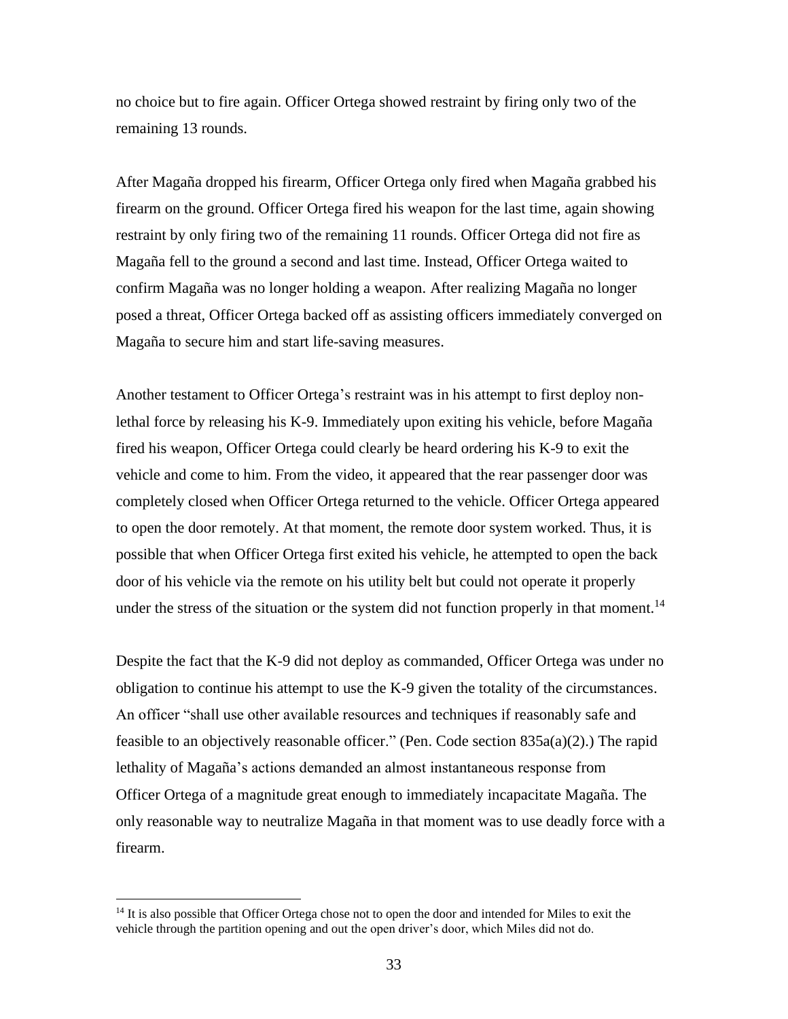no choice but to fire again. Officer Ortega showed restraint by firing only two of the remaining 13 rounds.

After Magaña dropped his firearm, Officer Ortega only fired when Magaña grabbed his firearm on the ground. Officer Ortega fired his weapon for the last time, again showing restraint by only firing two of the remaining 11 rounds. Officer Ortega did not fire as Magaña fell to the ground a second and last time. Instead, Officer Ortega waited to confirm Magaña was no longer holding a weapon. After realizing Magaña no longer posed a threat, Officer Ortega backed off as assisting officers immediately converged on Magaña to secure him and start life-saving measures.

Another testament to Officer Ortega's restraint was in his attempt to first deploy nonlethal force by releasing his K-9. Immediately upon exiting his vehicle, before Magaña fired his weapon, Officer Ortega could clearly be heard ordering his K-9 to exit the vehicle and come to him. From the video, it appeared that the rear passenger door was completely closed when Officer Ortega returned to the vehicle. Officer Ortega appeared to open the door remotely. At that moment, the remote door system worked. Thus, it is possible that when Officer Ortega first exited his vehicle, he attempted to open the back door of his vehicle via the remote on his utility belt but could not operate it properly under the stress of the situation or the system did not function properly in that moment.<sup>14</sup>

Despite the fact that the K-9 did not deploy as commanded, Officer Ortega was under no obligation to continue his attempt to use the K-9 given the totality of the circumstances. An officer "shall use other available resources and techniques if reasonably safe and feasible to an objectively reasonable officer." (Pen. Code section  $835a(a)(2)$ .) The rapid lethality of Magaña's actions demanded an almost instantaneous response from Officer Ortega of a magnitude great enough to immediately incapacitate Magaña. The only reasonable way to neutralize Magaña in that moment was to use deadly force with a firearm.

<sup>&</sup>lt;sup>14</sup> It is also possible that Officer Ortega chose not to open the door and intended for Miles to exit the vehicle through the partition opening and out the open driver's door, which Miles did not do.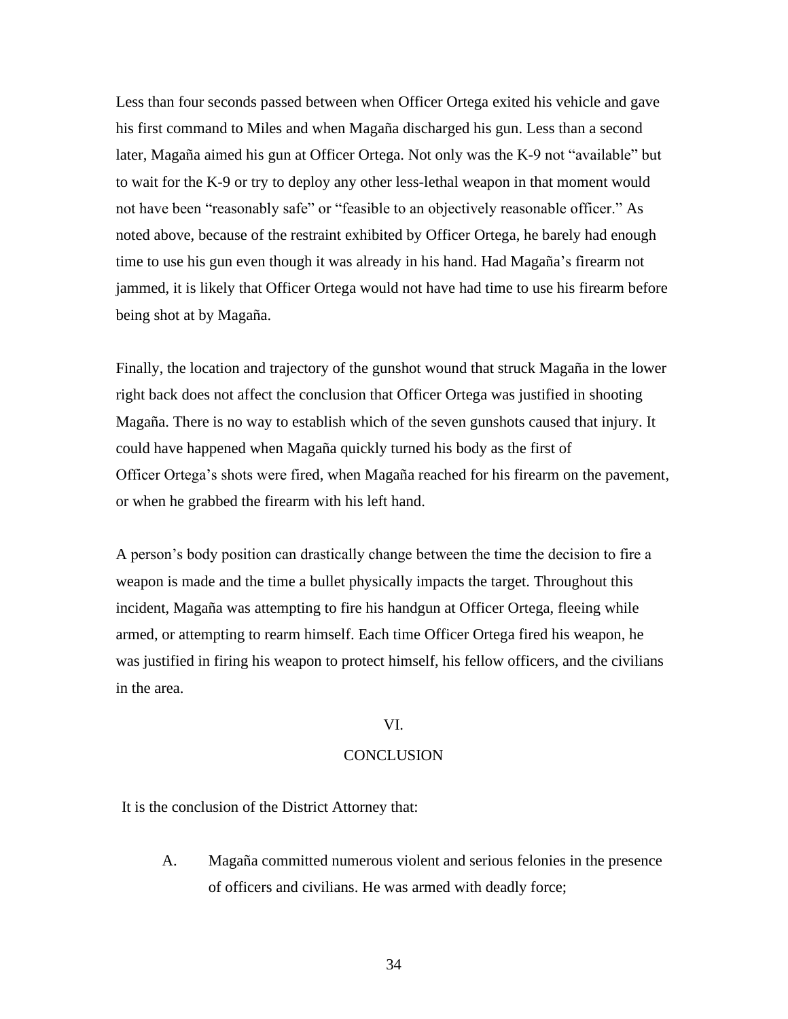Less than four seconds passed between when Officer Ortega exited his vehicle and gave his first command to Miles and when Magaña discharged his gun. Less than a second later, Magaña aimed his gun at Officer Ortega. Not only was the K-9 not "available" but to wait for the K-9 or try to deploy any other less-lethal weapon in that moment would not have been "reasonably safe" or "feasible to an objectively reasonable officer." As noted above, because of the restraint exhibited by Officer Ortega, he barely had enough time to use his gun even though it was already in his hand. Had Magaña's firearm not jammed, it is likely that Officer Ortega would not have had time to use his firearm before being shot at by Magaña.

Finally, the location and trajectory of the gunshot wound that struck Magaña in the lower right back does not affect the conclusion that Officer Ortega was justified in shooting Magaña. There is no way to establish which of the seven gunshots caused that injury. It could have happened when Magaña quickly turned his body as the first of Officer Ortega's shots were fired, when Magaña reached for his firearm on the pavement, or when he grabbed the firearm with his left hand.

A person's body position can drastically change between the time the decision to fire a weapon is made and the time a bullet physically impacts the target. Throughout this incident, Magaña was attempting to fire his handgun at Officer Ortega, fleeing while armed, or attempting to rearm himself. Each time Officer Ortega fired his weapon, he was justified in firing his weapon to protect himself, his fellow officers, and the civilians in the area.

### VI.

#### **CONCLUSION**

It is the conclusion of the District Attorney that:

A. Magaña committed numerous violent and serious felonies in the presence of officers and civilians. He was armed with deadly force;